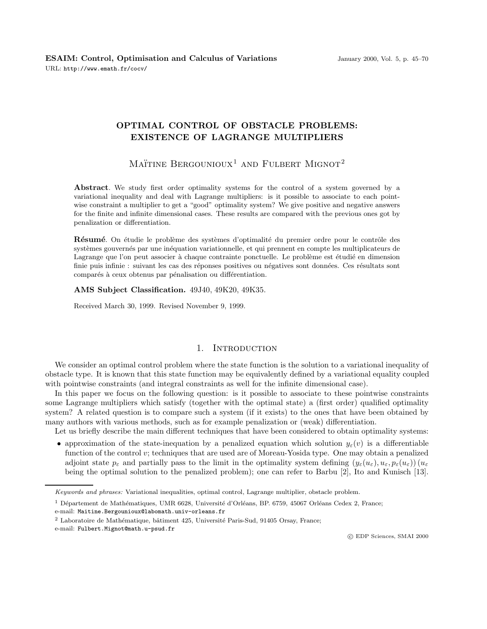# **OPTIMAL CONTROL OF OBSTACLE PROBLEMS: EXISTENCE OF LAGRANGE MULTIPLIERS**

MAÏTINE BERGOUNIOUX<sup>1</sup> AND FULBERT MIGNOT<sup>2</sup>

**Abstract**. We study first order optimality systems for the control of a system governed by a variational inequality and deal with Lagrange multipliers: is it possible to associate to each pointwise constraint a multiplier to get a "good" optimality system? We give positive and negative answers for the finite and infinite dimensional cases. These results are compared with the previous ones got by penalization or differentiation.

**Résumé**. On étudie le problème des systèmes d'optimalité du premier ordre pour le contrôle des systèmes gouvernés par une inéquation variationnelle, et qui prennent en compte les multiplicateurs de Lagrange que l'on peut associer à chaque contrainte ponctuelle. Le problème est étudié en dimension finie puis infinie : suivant les cas des réponses positives ou négatives sont données. Ces résultats sont comparés à ceux obtenus par pénalisation ou différentiation.

**AMS Subject Classification.** 49J40, 49K20, 49K35.

Received March 30, 1999. Revised November 9, 1999.

### 1. INTRODUCTION

We consider an optimal control problem where the state function is the solution to a variational inequality of obstacle type. It is known that this state function may be equivalently defined by a variational equality coupled with pointwise constraints (and integral constraints as well for the infinite dimensional case).

In this paper we focus on the following question: is it possible to associate to these pointwise constraints some Lagrange multipliers which satisfy (together with the optimal state) a (first order) qualified optimality system? A related question is to compare such a system (if it exists) to the ones that have been obtained by many authors with various methods, such as for example penalization or (weak) differentiation.

Let us briefly describe the main different techniques that have been considered to obtain optimality systems:

• approximation of the state-inequation by a penalized equation which solution  $y_\varepsilon(v)$  is a differentiable function of the control v; techniques that are used are of Moreau-Yosida type. One may obtain a penalized adjoint state  $p_{\varepsilon}$  and partially pass to the limit in the optimality system defining  $(y_{\varepsilon}(u_{\varepsilon}), u_{\varepsilon}, p_{\varepsilon}(u_{\varepsilon}))$  ( $u_{\varepsilon}$ being the optimal solution to the penalized problem); one can refer to Barbu [2], Ito and Kunisch [13].

e-mail: Maitine.Bergounioux@labomath.univ-orleans.fr

Keywords and phrases: Variational inequalities, optimal control, Lagrange multiplier, obstacle problem.

 $1$  Département de Mathématiques, UMR 6628, Université d'Orléans, BP. 6759, 45067 Orléans Cedex 2, France;

 $2$  Laboratoire de Mathématique, bâtiment 425, Université Paris-Sud, 91405 Orsay, France;

e-mail: Fulbert.Mignot@math.u-psud.fr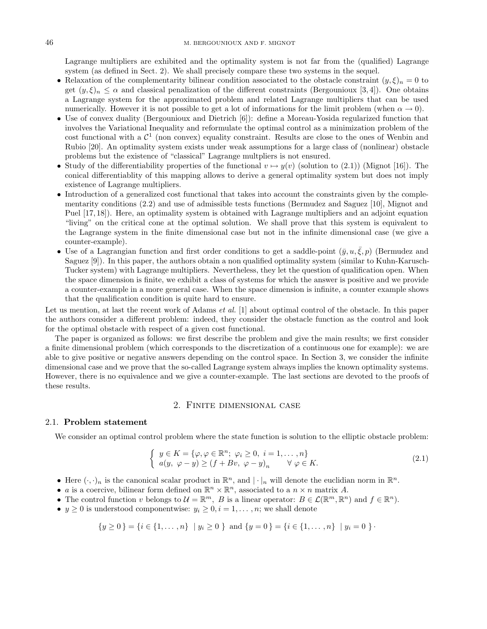Lagrange multipliers are exhibited and the optimality system is not far from the (qualified) Lagrange system (as defined in Sect. 2). We shall precisely compare these two systems in the sequel.

- Relaxation of the complementarity bilinear condition associated to the obstacle constraint  $(y, \xi)_n = 0$  to get  $(y,\xi)_n \leq \alpha$  and classical penalization of the different constraints (Bergounioux [3,4]). One obtains a Lagrange system for the approximated problem and related Lagrange multipliers that can be used numerically. However it is not possible to get a lot of informations for the limit problem (when  $\alpha \to 0$ ).
- Use of convex duality (Bergounioux and Dietrich [6]): define a Moreau-Yosida regularized function that involves the Variational Inequality and reformulate the optimal control as a minimization problem of the cost functional with a  $\mathcal{C}^1$  (non convex) equality constraint. Results are close to the ones of Wenbin and Rubio [20]. An optimality system exists under weak assumptions for a large class of (nonlinear) obstacle problems but the existence of "classical" Lagrange multpliers is not ensured.
- Study of the differentiability properties of the functional  $v \mapsto y(v)$  (solution to (2.1)) (Mignot [16]). The conical differentiablity of this mapping allows to derive a general optimality system but does not imply existence of Lagrange multipliers.
- Introduction of a generalized cost functional that takes into account the constraints given by the complementarity conditions (2.2) and use of admissible tests functions (Bermudez and Saguez [10], Mignot and Puel [17, 18]). Here, an optimality system is obtained with Lagrange multipliers and an adjoint equation "living" on the critical cone at the optimal solution. We shall prove that this system is equivalent to the Lagrange system in the finite dimensional case but not in the infinite dimensional case (we give a counter-example).
- Use of a Lagrangian function and first order conditions to get a saddle-point  $(\bar{y}, u, \bar{\xi}, p)$  (Bermudez and Saguez [9]). In this paper, the authors obtain a non qualified optimality system (similar to Kuhn-Karusch-Tucker system) with Lagrange multipliers. Nevertheless, they let the question of qualification open. When the space dimension is finite, we exhibit a class of systems for which the answer is positive and we provide a counter-example in a more general case. When the space dimension is infinite, a counter example shows that the qualification condition is quite hard to ensure.

Let us mention, at last the recent work of Adams *et al.* [1] about optimal control of the obstacle. In this paper the authors consider a different problem: indeed, they consider the obstacle function as the control and look for the optimal obstacle with respect of a given cost functional.

The paper is organized as follows: we first describe the problem and give the main results; we first consider a finite dimensional problem (which corresponds to the discretization of a continuous one for example): we are able to give positive or negative answers depending on the control space. In Section 3, we consider the infinite dimensional case and we prove that the so-called Lagrange system always implies the known optimality systems. However, there is no equivalence and we give a counter-example. The last sections are devoted to the proofs of these results.

## 2. Finite dimensional case

#### 2.1. **Problem statement**

We consider an optimal control problem where the state function is solution to the elliptic obstacle problem:

$$
\begin{cases}\ny \in K = \{\varphi, \varphi \in \mathbb{R}^n; \ \varphi_i \ge 0, \ i = 1, \dots, n\} \\
a(y, \ \varphi - y) \ge (f + Bv, \ \varphi - y)_n \qquad \forall \ \varphi \in K.\n\end{cases}
$$
\n(2.1)

- Here  $(\cdot, \cdot)_n$  is the canonical scalar product in  $\mathbb{R}^n$ , and  $|\cdot|_n$  will denote the euclidian norm in  $\mathbb{R}^n$ .
- a is a coercive, bilinear form defined on  $\mathbb{R}^n \times \mathbb{R}^n$ , associated to a  $n \times n$  matrix A.
- The control function v belongs to  $\mathcal{U} = \mathbb{R}^m$ , B is a linear operator:  $B \in \mathcal{L}(\mathbb{R}^m, \mathbb{R}^n)$  and  $f \in \mathbb{R}^n$ .
- $y \geq 0$  is understood componentwise:  $y_i \geq 0, i = 1, \ldots, n$ ; we shall denote

$$
\{y \ge 0\} = \{i \in \{1, ..., n\} \mid y_i \ge 0\} \text{ and } \{y = 0\} = \{i \in \{1, ..., n\} \mid y_i = 0\}.
$$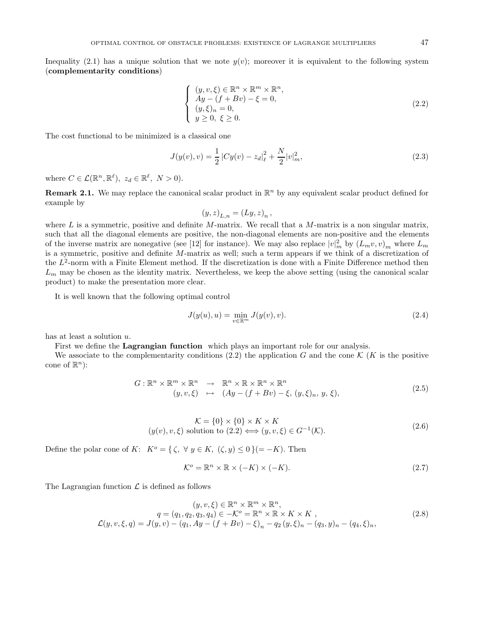Inequality (2.1) has a unique solution that we note  $y(v)$ ; moreover it is equivalent to the following system (**complementarity conditions**)

$$
\begin{cases}\n(y, v, \xi) \in \mathbb{R}^n \times \mathbb{R}^m \times \mathbb{R}^n, \\
Ay - (f + Bv) - \xi = 0, \\
(y, \xi)_n = 0, \\
y \ge 0, \xi \ge 0.\n\end{cases}
$$
\n(2.2)

The cost functional to be minimized is a classical one

$$
J(y(v), v) = \frac{1}{2} |Cy(v) - z_d|^2 + \frac{N}{2} |v|^2_m,
$$
\n(2.3)

where  $C \in \mathcal{L}(\mathbb{R}^n, \mathbb{R}^\ell)$ ,  $z_d \in \mathbb{R}^\ell$ ,  $N > 0$ ).

**Remark 2.1.** We may replace the canonical scalar product in  $\mathbb{R}^n$  by any equivalent scalar product defined for example by

$$
(y,z)_{L,n} = (Ly, z)_n,
$$

where  $L$  is a symmetric, positive and definite M-matrix. We recall that a M-matrix is a non singular matrix, such that all the diagonal elements are positive, the non-diagonal elements are non-positive and the elements of the inverse matrix are nonegative (see [12] for instance). We may also replace  $|v|^2_m$  by  $(L_m v, v)_m$  where  $L_m$ is a symmetric, positive and definite M-matrix as well; such a term appears if we think of a discretization of the  $L^2$ -norm with a Finite Element method. If the discretization is done with a Finite Difference method then  $L_m$  may be chosen as the identity matrix. Nevertheless, we keep the above setting (using the canonical scalar product) to make the presentation more clear.

It is well known that the following optimal control

$$
J(y(u), u) = \min_{v \in \mathbb{R}^m} J(y(v), v).
$$
 (2.4)

has at least a solution u.

First we define the **Lagrangian function** which plays an important role for our analysis.

We associate to the complementarity conditions (2.2) the application G and the cone K (K is the positive cone of  $\mathbb{R}^n$ :

$$
G: \mathbb{R}^n \times \mathbb{R}^m \times \mathbb{R}^n \longrightarrow \mathbb{R}^n \times \mathbb{R} \times \mathbb{R}^n \times \mathbb{R}^n
$$
  
\n
$$
(y, v, \xi) \longrightarrow (Ay - (f + Bv) - \xi, (y, \xi)_n, y, \xi),
$$
\n(2.5)

$$
\mathcal{K} = \{0\} \times \{0\} \times K \times K
$$
  
( $y(v), v, \xi$ ) solution to (2.2)  $\iff$   $(y, v, \xi) \in G^{-1}(\mathcal{K}).$  (2.6)

Define the polar cone of K:  $K^o = \{ \zeta, \forall y \in K, (\zeta, y) \leq 0 \} (= -K)$ . Then

$$
\mathcal{K}^o = \mathbb{R}^n \times \mathbb{R} \times (-K) \times (-K). \tag{2.7}
$$

The Lagrangian function  $\mathcal L$  is defined as follows

$$
(y, v, \xi) \in \mathbb{R}^n \times \mathbb{R}^m, q = (q_1, q_2, q_3, q_4) \in -\mathcal{K}^o = \mathbb{R}^n \times \mathbb{R} \times K \times K, \mathcal{L}(y, v, \xi, q) = J(y, v) - (q_1, Ay - (f + Bv) - \xi)_n - q_2 (y, \xi)_n - (q_3, y)_n - (q_4, \xi)_n,
$$
\n(2.8)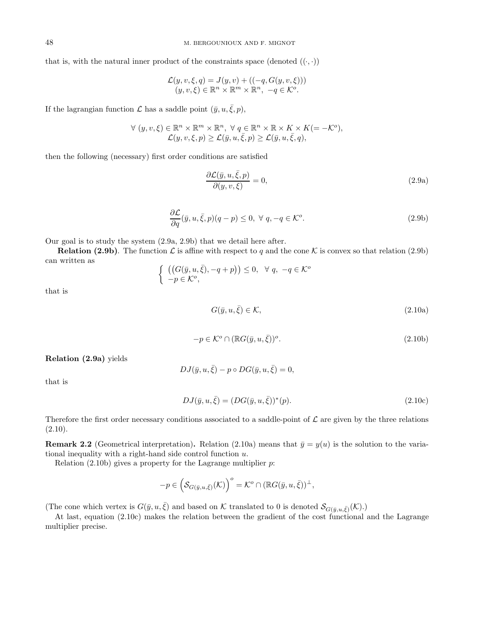that is, with the natural inner product of the constraints space (denoted  $((\cdot, \cdot))$ )

$$
\mathcal{L}(y, v, \xi, q) = J(y, v) + ((-q, G(y, v, \xi)))
$$
  

$$
(y, v, \xi) \in \mathbb{R}^n \times \mathbb{R}^m \times \mathbb{R}^n, -q \in \mathcal{K}^o.
$$

If the lagrangian function  $\mathcal L$  has a saddle point  $(\bar y, u, \bar \xi, p)$ ,

$$
\forall (y, v, \xi) \in \mathbb{R}^n \times \mathbb{R}^m \times \mathbb{R}^n, \forall q \in \mathbb{R}^n \times \mathbb{R} \times K \times K (= -\mathcal{K}^o),
$$
  

$$
\mathcal{L}(y, v, \xi, p) \ge \mathcal{L}(\bar{y}, u, \bar{\xi}, p) \ge \mathcal{L}(\bar{y}, u, \bar{\xi}, q),
$$

then the following (necessary) first order conditions are satisfied

$$
\frac{\partial \mathcal{L}(\bar{y}, u, \bar{\xi}, p)}{\partial(y, v, \xi)} = 0,
$$
\n(2.9a)

$$
\frac{\partial \mathcal{L}}{\partial q}(\bar{y}, u, \bar{\xi}, p)(q - p) \le 0, \ \forall \ q, -q \in \mathcal{K}^o.
$$
\n(2.9b)

Our goal is to study the system (2.9a, 2.9b) that we detail here after.

**Relation (2.9b)**. The function  $\mathcal{L}$  is affine with respect to q and the cone K is convex so that relation (2.9b) can written as

$$
\begin{cases} ((G(\bar{y}, u, \bar{\xi}), -q + p)) \leq 0, \forall q, -q \in \mathcal{K}^o \\ -p \in \mathcal{K}^o, \end{cases}
$$

that is

$$
G(\bar{y}, u, \bar{\xi}) \in \mathcal{K},\tag{2.10a}
$$

$$
-p \in \mathcal{K}^o \cap (\mathbb{R}G(\bar{y}, u, \bar{\xi}))^o.
$$
\n
$$
(2.10b)
$$

**Relation (2.9a)** yields

$$
DJ(\bar{y}, u, \bar{\xi}) - p \circ DG(\bar{y}, u, \bar{\xi}) = 0,
$$

that is

$$
DJ(\bar{y}, u, \bar{\xi}) = (DG(\bar{y}, u, \bar{\xi}))^*(p).
$$
\n(2.10c)

Therefore the first order necessary conditions associated to a saddle-point of  $\mathcal L$  are given by the three relations  $(2.10).$ 

**Remark 2.2** (Geometrical interpretation). Relation (2.10a) means that  $\bar{y} = y(u)$  is the solution to the variational inequality with a right-hand side control function  $u$ .

Relation  $(2.10b)$  gives a property for the Lagrange multiplier p:

$$
-p \in \left(\mathcal{S}_{G(\bar{y},u,\bar{\xi})}(\mathcal{K})\right)^{\circ} = \mathcal{K}^{\circ} \cap (\mathbb{R}G(\bar{y},u,\bar{\xi}))^{\perp},
$$

(The cone which vertex is  $G(\bar{y}, u, \bar{\xi})$  and based on K translated to 0 is denoted  $\mathcal{S}_{G(\bar{y}, u, \bar{\xi})}(\mathcal{K})$ .)

At last, equation (2.10c) makes the relation between the gradient of the cost functional and the Lagrange multiplier precise.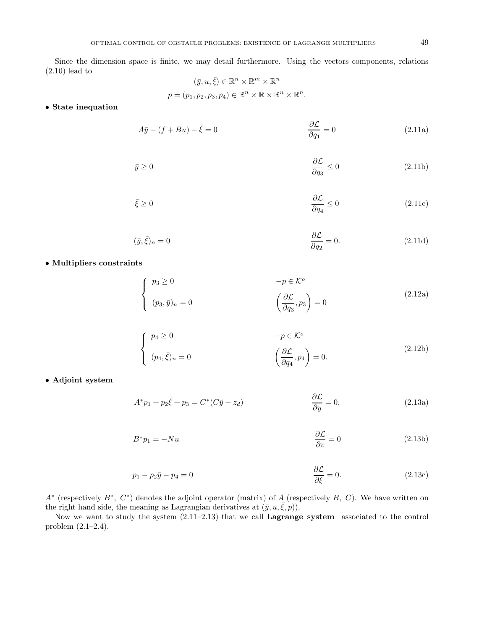Since the dimension space is finite, we may detail furthermore. Using the vectors components, relations (2.10) lead to

$$
(\bar{y}, u, \bar{\xi}) \in \mathbb{R}^n \times \mathbb{R}^m \times \mathbb{R}^n
$$

$$
p = (p_1, p_2, p_3, p_4) \in \mathbb{R}^n \times \mathbb{R} \times \mathbb{R}^n \times \mathbb{R}^n.
$$

• **State inequation**

$$
A\bar{y} - (f + Bu) - \bar{\xi} = 0
$$
\n
$$
\frac{\partial \mathcal{L}}{\partial q_1} = 0
$$
\n(2.11a)

$$
\bar{y} \ge 0 \qquad \qquad \frac{\partial \mathcal{L}}{\partial q_3} \le 0 \qquad (2.11b)
$$

$$
\bar{\xi} \ge 0 \tag{2.11c}
$$

$$
(\bar{y}, \bar{\xi})_n = 0 \qquad \qquad \frac{\partial \mathcal{L}}{\partial q_2} = 0. \tag{2.11d}
$$

• **Multipliers constraints**

$$
\begin{cases}\n p_3 \ge 0 & -p \in \mathcal{K}^o \\
 (p_3, \bar{y})_n = 0 & \left(\frac{\partial \mathcal{L}}{\partial q_3}, p_3\right) = 0\n\end{cases}\n\tag{2.12a}
$$

$$
\begin{cases}\n p_4 \ge 0 & -p \in \mathcal{K}^o \\
 (p_4, \bar{\xi})_n = 0 & \left(\frac{\partial \mathcal{L}}{\partial q_4}, p_4\right) = 0.\n\end{cases}\n\tag{2.12b}
$$

• **Adjoint system**

$$
A^*p_1 + p_2\bar{\xi} + p_3 = C^*(C\bar{y} - z_d) \qquad \frac{\partial \mathcal{L}}{\partial y} = 0. \qquad (2.13a)
$$

$$
B^* p_1 = -N u \qquad \qquad \frac{\partial \mathcal{L}}{\partial v} = 0 \tag{2.13b}
$$

$$
p_1 - p_2 \bar{y} - p_4 = 0
$$
\n
$$
\frac{\partial \mathcal{L}}{\partial \xi} = 0.
$$
\n(2.13c)

 $A^*$  (respectively  $B^*$ ,  $C^*$ ) denotes the adjoint operator (matrix) of A (respectively B, C). We have written on the right hand side, the meaning as Lagrangian derivatives at  $(\bar{y}, u, \bar{\xi}, p)$ .

Now we want to study the system (2.11–2.13) that we call **Lagrange system** associated to the control problem (2.1–2.4).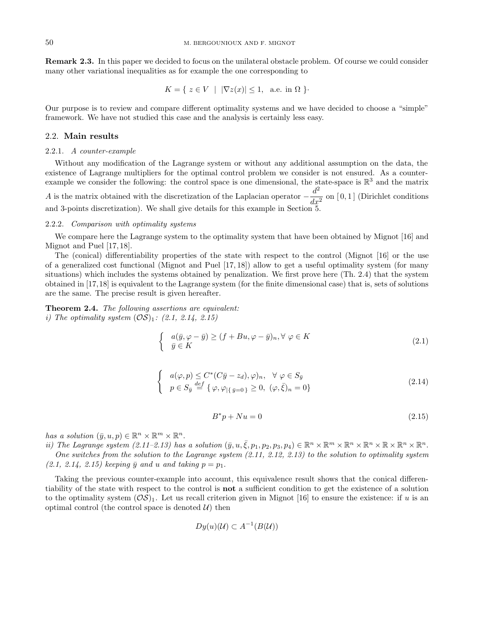**Remark 2.3.** In this paper we decided to focus on the unilateral obstacle problem. Of course we could consider many other variational inequalities as for example the one corresponding to

$$
K = \{ z \in V \mid |\nabla z(x)| \le 1, \text{ a.e. in } \Omega \}.
$$

Our purpose is to review and compare different optimality systems and we have decided to choose a "simple" framework. We have not studied this case and the analysis is certainly less easy.

#### 2.2. **Main results**

#### 2.2.1. A counter-example

Without any modification of the Lagrange system or without any additional assumption on the data, the existence of Lagrange multipliers for the optimal control problem we consider is not ensured. As a counterexample we consider the following: the control space is one dimensional, the state-space is  $\mathbb{R}^3$  and the matrix A is the matrix obtained with the discretization of the Laplacian operator  $-\frac{d^2}{dx^2}$  on [0,1] (Dirichlet conditions and 3-points discretization). We shall give details for this example in Section 5.

### 2.2.2. Comparison with optimality systems

We compare here the Lagrange system to the optimality system that have been obtained by Mignot [16] and Mignot and Puel [17, 18].

The (conical) differentiability properties of the state with respect to the control (Mignot [16] or the use of a generalized cost functional (Mignot and Puel [17, 18]) allow to get a useful optimality system (for many situations) which includes the systems obtained by penalization. We first prove here (Th. 2.4) that the system obtained in [17,18] is equivalent to the Lagrange system (for the finite dimensional case) that is, sets of solutions are the same. The precise result is given hereafter.

**Theorem 2.4.** The following assertions are equivalent: i) The optimality system  $(\mathcal{OS})_1$ : (2.1, 2.14, 2.15)

$$
\begin{cases}\n a(\bar{y}, \varphi - \bar{y}) \ge (f + Bu, \varphi - \bar{y})_n, \forall \varphi \in K \\
 \bar{y} \in K\n\end{cases}
$$
\n(2.1)

$$
\begin{cases}\n a(\varphi, p) \le C^*(C\bar{y} - z_d), \varphi)_n, & \forall \varphi \in S_{\bar{y}} \\
 p \in S_{\bar{y}} \stackrel{def}{=} \{ \varphi, \varphi_{|\{\bar{y}=0\}} \ge 0, \ (\varphi, \bar{\xi})_n = 0 \}\n\end{cases}
$$
\n(2.14)

$$
B^*p + Nu = 0\tag{2.15}
$$

has a solution  $(\bar{y}, u, p) \in \mathbb{R}^n \times \mathbb{R}^m \times \mathbb{R}^n$ .

ii) The Lagrange system  $(2.11-2.13)$  has a solution  $(\bar{y}, u, \bar{\xi}, p_1, p_2, p_3, p_4) \in \mathbb{R}^n \times \mathbb{R}^m \times \mathbb{R}^n \times \mathbb{R}^n \times \mathbb{R}^n \times \mathbb{R}^n \times \mathbb{R}^n$ . One switches from the solution to the Lagrange system (2.11, 2.12, 2.13) to the solution to optimality system  $(2.1, 2.14, 2.15)$  keeping  $\bar{y}$  and u and taking  $p = p_1$ .

Taking the previous counter-example into account, this equivalence result shows that the conical differentiability of the state with respect to the control is **not** a sufficient condition to get the existence of a solution to the optimality system  $(\mathcal{OS})_1$ . Let us recall criterion given in Mignot [16] to ensure the existence: if u is an optimal control (the control space is denoted  $\mathcal{U}$ ) then

$$
Dy(u)(\mathcal{U}) \subset A^{-1}(B(\mathcal{U}))
$$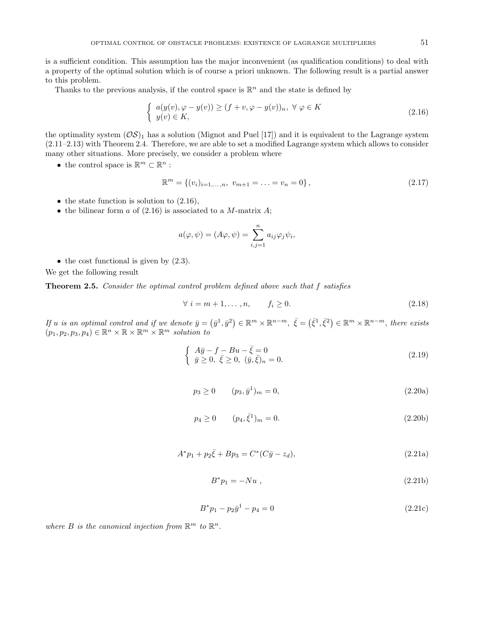is a sufficient condition. This assumption has the major inconvenient (as qualification conditions) to deal with a property of the optimal solution which is of course a priori unknown. The following result is a partial answer to this problem.

Thanks to the previous analysis, if the control space is  $\mathbb{R}^n$  and the state is defined by

$$
\begin{cases}\n a(y(v), \varphi - y(v)) \ge (f + v, \varphi - y(v))_n, \ \forall \ \varphi \in K \\
 y(v) \in K,\n\end{cases} \tag{2.16}
$$

the optimality system  $(\mathcal{OS})_1$  has a solution (Mignot and Puel [17]) and it is equivalent to the Lagrange system (2.11–2.13) with Theorem 2.4. Therefore, we are able to set a modified Lagrange system which allows to consider many other situations. More precisely, we consider a problem where

• the control space is  $\mathbb{R}^m \subset \mathbb{R}^n$ :

$$
\mathbb{R}^m = \{(v_i)_{i=1,\dots,n}, \ v_{m+1} = \dots = v_n = 0\},\tag{2.17}
$$

- the state function is solution to  $(2.16)$ ,
- the bilinear form  $a$  of (2.16) is associated to a M-matrix  $A$ ;

$$
a(\varphi, \psi) = (A\varphi, \psi) = \sum_{i,j=1}^{n} a_{ij} \varphi_j \psi_i,
$$

 $\bullet$  the cost functional is given by  $(2.3)$ .

We get the following result

**Theorem 2.5.** Consider the optimal control problem defined above such that f satisfies

$$
\forall i = m+1, \dots, n, \qquad f_i \ge 0. \tag{2.18}
$$

If u is an optimal control and if we denote  $\bar{y} = (\bar{y}^1, \bar{y}^2) \in \mathbb{R}^m \times \mathbb{R}^{n-m}$ ,  $\bar{\xi} = (\bar{\xi}^1, \bar{\xi}^2) \in \mathbb{R}^m \times \mathbb{R}^{n-m}$ , there exists  $(p_1, p_2, p_3, p_4) \in \mathbb{R}^n \times \mathbb{R} \times \mathbb{R}^m \times \mathbb{R}^m$  solution to

$$
\begin{cases}\nA\bar{y} - f - Bu - \bar{\xi} = 0 \\
\bar{y} \ge 0, \ \bar{\xi} \ge 0, \ (\bar{y}, \bar{\xi})_n = 0.\n\end{cases}
$$
\n(2.19)

$$
p_3 \ge 0 \t\t (p_3, \bar{y}^1)_m = 0,\t\t (2.20a)
$$

$$
p_4 \ge 0 \qquad (p_4, \bar{\xi}^1)_m = 0. \tag{2.20b}
$$

$$
A^*p_1 + p_2\bar{\xi} + Bp_3 = C^*(C\bar{y} - z_d),\tag{2.21a}
$$

$$
B^* p_1 = -Nu \t{,} \t(2.21b)
$$

$$
B^* p_1 - p_2 \bar{y}^1 - p_4 = 0 \tag{2.21c}
$$

where B is the canonical injection from  $\mathbb{R}^m$  to  $\mathbb{R}^n$ .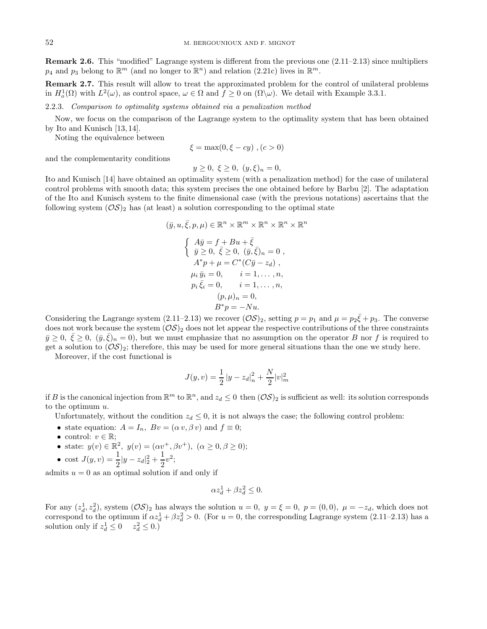**Remark 2.6.** This "modified" Lagrange system is different from the previous one  $(2.11-2.13)$  since multipliers  $p_4$  and  $p_3$  belong to  $\mathbb{R}^m$  (and no longer to  $\mathbb{R}^n$ ) and relation (2.21c) lives in  $\mathbb{R}^m$ .

**Remark 2.7.** This result will allow to treat the approximated problem for the control of unilateral problems in  $H_o^1(\Omega)$  with  $L^2(\omega)$ , as control space,  $\omega \in \Omega$  and  $f \geq 0$  on  $(\Omega \setminus \omega)$ . We detail with Example 3.3.1.

2.2.3. Comparison to optimality systems obtained via a penalization method

Now, we focus on the comparison of the Lagrange system to the optimality system that has been obtained by Ito and Kunisch [13, 14].

Noting the equivalence between

$$
\xi = \max(0, \xi - cy), (c > 0)
$$

and the complementarity conditions

$$
y \ge 0, \ \xi \ge 0, \ (y, \xi)_n = 0,
$$

Ito and Kunisch [14] have obtained an optimality system (with a penalization method) for the case of unilateral control problems with smooth data; this system precises the one obtained before by Barbu [2]. The adaptation of the Ito and Kunisch system to the finite dimensional case (with the previous notations) ascertains that the following system  $(\mathcal{OS})_2$  has (at least) a solution corresponding to the optimal state

$$
(\bar{y}, u, \bar{\xi}, p, \mu) \in \mathbb{R}^n \times \mathbb{R}^m \times \mathbb{R}^n \times \mathbb{R}^n \times \mathbb{R}^n
$$
  

$$
\begin{cases} A\bar{y} = f + Bu + \bar{\xi} \\ \bar{y} \ge 0, \ \bar{\xi} \ge 0, \ (\bar{y}, \bar{\xi})_n = 0 \\ A^*p + \mu = C^*(C\bar{y} - z_d) \\ \mu_i \ \bar{y}_i = 0, \qquad i = 1, \dots, n, \\ p_i \ \bar{\xi}_i = 0, \qquad i = 1, \dots, n, \\ p_i \ \bar{\xi}_i = 0, \qquad i = 1, \dots, n, \\ (p, \mu)_n = 0, \\ B^*p = -Nu. \end{cases}
$$

Considering the Lagrange system (2.11–2.13) we recover  $(\mathcal{OS})_2$ , setting  $p = p_1$  and  $\mu = p_2\bar{\xi} + p_3$ . The converse does not work because the system  $(\mathcal{OS})_2$  does not let appear the respective contributions of the three constraints  $\bar{y}\geq 0, \ \xi\geq 0, \ (\bar{y},\xi)_n=0$ , but we must emphasize that no assumption on the operator B nor f is required to get a solution to  $(\mathcal{OS})_2$ ; therefore, this may be used for more general situations than the one we study here.

Moreover, if the cost functional is

$$
J(y, v) = \frac{1}{2} |y - z_d|^2 + \frac{N}{2} |v|^2_m
$$

if B is the canonical injection from  $\mathbb{R}^m$  to  $\mathbb{R}^n$ , and  $z_d \leq 0$  then  $(\mathcal{OS})_2$  is sufficient as well: its solution corresponds to the optimum  $u$ .

Unfortunately, without the condition  $z_d \leq 0$ , it is not always the case; the following control problem:

- state equation:  $A = I_n$ ,  $Bv = (\alpha v, \beta v)$  and  $f \equiv 0$ ;
- control:  $v \in \mathbb{R}$ ;
- state:  $y(v) \in \mathbb{R}^2$ ,  $y(v) = (\alpha v^+, \beta v^+), \ (\alpha \ge 0, \beta \ge 0);$

• cost 
$$
J(y, v) = \frac{1}{2}|y - z_d|^2 + \frac{1}{2}v^2;
$$

admits  $u = 0$  as an optimal solution if and only if

$$
\alpha z_d^1 + \beta z_d^2 \le 0.
$$

For any  $(z_d^1, z_d^2)$ , system  $(\mathcal{OS})_2$  has always the solution  $u = 0$ ,  $y = \xi = 0$ ,  $p = (0, 0)$ ,  $\mu = -z_d$ , which does not correspond to the optimum if  $\alpha z_d^1 + \beta z_d^2 > 0$ . (For  $u = 0$ , the corresponding Lagrange system (2.11–2.13) has a solution only if  $z_d^1 \leq 0$   $z_d^2 \leq 0$ .)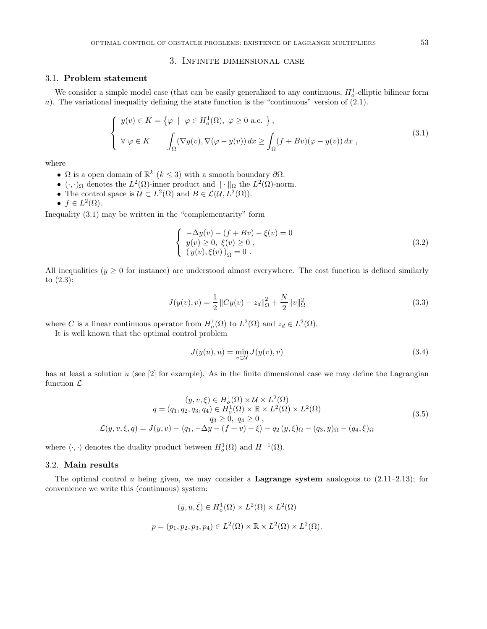## 3. Infinite dimensional case

### 3.1. **Problem statement**

We consider a simple model case (that can be easily generalized to any continuous,  $H_o^1$ -elliptic bilinear form a). The variational inequality defining the state function is the "continuous" version of (2.1).

$$
\begin{cases}\ny(v) \in K = \{ \varphi \mid \varphi \in H_o^1(\Omega), \varphi \ge 0 \text{ a.e. } \}, \\
\forall \varphi \in K \qquad \int_{\Omega} (\nabla y(v), \nabla(\varphi - y(v)) dx \ge \int_{\Omega} (f + Bv)(\varphi - y(v)) dx,\n\end{cases} \tag{3.1}
$$

where

- $\Omega$  is a open domain of  $\mathbb{R}^k$   $(k \leq 3)$  with a smooth boundary  $\partial \Omega$ .
- $(\cdot, \cdot)_{\Omega}$  denotes the  $L^2(\Omega)$ -inner product and  $\|\cdot\|_{\Omega}$  the  $L^2(\Omega)$ -norm.
- The control space is  $\mathcal{U} \subset L^2(\Omega)$  and  $B \in \mathcal{L}(\mathcal{U}, L^2(\Omega)).$
- $f \in L^2(\Omega)$ .

Inequality (3.1) may be written in the "complementarity" form

$$
\begin{cases}\n-\Delta y(v) - (f + Bv) - \xi(v) = 0 \\
y(v) \ge 0, & \xi(v) \ge 0 \\
(y(v), \xi(v))_{\Omega} = 0.\n\end{cases}
$$
\n(3.2)

All inequalities  $(y \geq 0$  for instance) are understood almost everywhere. The cost function is defined similarly to (2.3):

$$
J(y(v), v) = \frac{1}{2} ||Cy(v) - z_d||_{\Omega}^2 + \frac{N}{2} ||v||_{\Omega}^2
$$
\n(3.3)

where C is a linear continuous operator from  $H_o^1(\Omega)$  to  $L^2(\Omega)$  and  $z_d \in L^2(\Omega)$ .

It is well known that the optimal control problem

$$
J(y(u), u) = \min_{v \in \mathcal{U}} J(y(v), v)
$$
\n(3.4)

has at least a solution  $u$  (see [2] for example). As in the finite dimensional case we may define the Lagrangian function  $\mathcal{L}$ 

$$
(y, v, \xi) \in H_0^1(\Omega) \times \mathcal{U} \times L^2(\Omega)
$$
  
\n
$$
q = (q_1, q_2, q_3, q_4) \in H_0^1(\Omega) \times \mathbb{R} \times L^2(\Omega) \times L^2(\Omega)
$$
  
\n
$$
q_3 \ge 0, q_4 \ge 0,
$$
  
\n
$$
\mathcal{L}(y, v, \xi, q) = J(y, v) - \langle q_1, -\Delta y - (f + v) - \xi \rangle - q_2(y, \xi) \Omega - (q_3, y) \Omega - (q_4, \xi) \Omega
$$
\n(3.5)

where  $\langle \cdot, \cdot \rangle$  denotes the duality product between  $H_o^1(\Omega)$  and  $H^{-1}(\Omega)$ .

## 3.2. **Main results**

The optimal control u being given, we may consider a **Lagrange system** analogous to (2.11–2.13); for convenience we write this (continuous) system:

$$
(\bar{y}, u, \bar{\xi}) \in H_o^1(\Omega) \times L^2(\Omega) \times L^2(\Omega)
$$
  

$$
p = (p_1, p_2, p_3, p_4) \in L^2(\Omega) \times \mathbb{R} \times L^2(\Omega) \times L^2(\Omega).
$$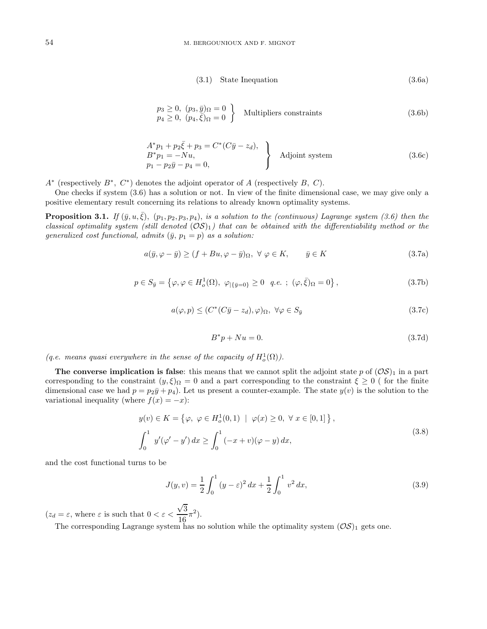$$
(3.1) State In equation \t(3.6a)
$$

$$
\begin{array}{c}\np_3 \ge 0, \ (p_3, \bar{y})_{\Omega} = 0 \\
p_4 \ge 0, \ (p_4, \bar{\xi})_{\Omega} = 0\n\end{array}\n\} \quad \text{Multipliers constraints} \tag{3.6b}
$$

$$
A^*p_1 + p_2\xi + p_3 = C^*(C\bar{y} - z_d),
$$
  
\n
$$
B^*p_1 = -Nu,
$$
  
\n
$$
p_1 - p_2\bar{y} - p_4 = 0,
$$
\n
$$
(3.6c)
$$

 $A^*$  (respectively  $B^*$ ,  $C^*$ ) denotes the adjoint operator of A (respectively B, C).

One checks if system (3.6) has a solution or not. In view of the finite dimensional case, we may give only a positive elementary result concerning its relations to already known optimality systems.

**Proposition 3.1.** If  $(\bar{y}, u, \xi)$ ,  $(p_1, p_2, p_3, p_4)$ , is a solution to the (continuous) Lagrange system (3.6) then the classical optimality system (still denoted  $(\mathcal{OS})_1$ ) that can be obtained with the differentiability method or the generalized cost functional, admits  $(\bar{y}, p_1 = p)$  as a solution:

$$
a(\bar{y}, \varphi - \bar{y}) \ge (f + Bu, \varphi - \bar{y})_{\Omega}, \ \forall \ \varphi \in K, \qquad \bar{y} \in K
$$
\n(3.7a)

$$
p \in S_{\bar{y}} = \{ \varphi, \varphi \in H_o^1(\Omega), \ \varphi_{|\{\bar{y}=0\}} \ge 0 \ \ q.e. \ ; \ (\varphi, \bar{\xi})_{\Omega} = 0 \},
$$
\n(3.7b)

$$
a(\varphi, p) \le (C^*(C\bar{y} - z_d), \varphi)_{\Omega}, \ \forall \varphi \in S_{\bar{y}}
$$
\n
$$
(3.7c)
$$

$$
B^*p + Nu = 0.\tag{3.7d}
$$

(q.e. means quasi everywhere in the sense of the capacity of  $H_o^1(\Omega)$ ).

**The converse implication is false**: this means that we cannot split the adjoint state p of  $(\mathcal{OS})_1$  in a part corresponding to the constraint  $(y,\xi)_{\Omega} = 0$  and a part corresponding to the constraint  $\xi \geq 0$  (for the finite dimensional case we had  $p = p_2\bar{y} + p_4$ ). Let us present a counter-example. The state  $y(v)$  is the solution to the variational inequality (where  $f(x) = -x$ ):

$$
y(v) \in K = \{ \varphi, \ \varphi \in H_o^1(0, 1) \mid \varphi(x) \ge 0, \ \forall \ x \in [0, 1] \},
$$
  

$$
\int_0^1 y'(\varphi' - y') dx \ge \int_0^1 (-x + v)(\varphi - y) dx,
$$
 (3.8)

and the cost functional turns to be

$$
J(y,v) = \frac{1}{2} \int_0^1 (y - \varepsilon)^2 dx + \frac{1}{2} \int_0^1 v^2 dx,
$$
\n(3.9)

 $(z_d = \varepsilon$ , where  $\varepsilon$  is such that  $0 < \varepsilon <$ √  $\frac{\sqrt{3}}{16}\pi^2$ ).

The corresponding Lagrange system has no solution while the optimality system  $(\mathcal{OS})_1$  gets one.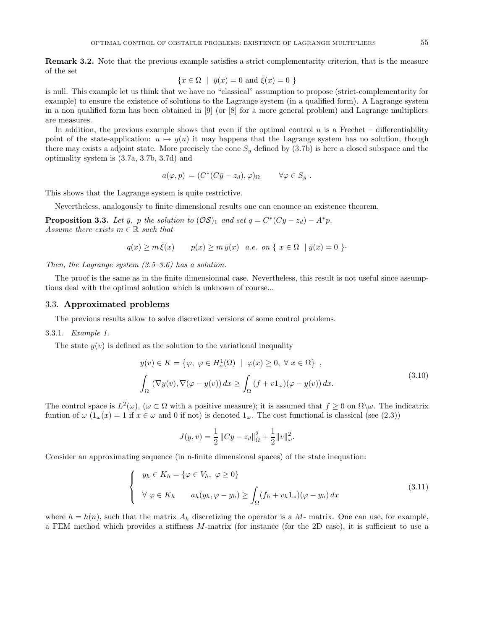**Remark 3.2.** Note that the previous example satisfies a strict complementarity criterion, that is the measure of the set

$$
\{x \in \Omega \mid \bar{y}(x) = 0 \text{ and } \bar{\xi}(x) = 0 \}
$$

is null. This example let us think that we have no "classical" assumption to propose (strict-complementarity for example) to ensure the existence of solutions to the Lagrange system (in a qualified form). A Lagrange system in a non qualified form has been obtained in [9] (or [8] for a more general problem) and Lagrange multipliers are measures.

In addition, the previous example shows that even if the optimal control  $u$  is a Frechet – differentiability point of the state-application:  $u \mapsto y(u)$  it may happens that the Lagrange system has no solution, though there may exists a adjoint state. More precisely the cone  $S_{\bar{y}}$  defined by (3.7b) is here a closed subspace and the optimality system is (3.7a, 3.7b, 3.7d) and

$$
a(\varphi, p) = (C^*(C\bar{y} - z_d), \varphi)_{\Omega} \qquad \forall \varphi \in S_{\bar{y}}.
$$

This shows that the Lagrange system is quite restrictive.

Nevertheless, analogously to finite dimensional results one can enounce an existence theorem.

**Proposition 3.3.** Let  $\bar{y}$ , p the solution to  $(\mathcal{OS})_1$  and set  $q = C^*(Cy - z_d) - A^*p$ . Assume there exists  $m \in \mathbb{R}$  such that

$$
q(x) \ge m\overline{\xi}(x) \qquad p(x) \ge m\overline{y}(x) \quad a.e. \text{ on } \{x \in \Omega \mid \overline{y}(x) = 0 \}.
$$

Then, the Lagrange system  $(3.5-3.6)$  has a solution.

The proof is the same as in the finite dimensionnal case. Nevertheless, this result is not useful since assumptions deal with the optimal solution which is unknown of course...

### 3.3. **Approximated problems**

The previous results allow to solve discretized versions of some control problems.

#### 3.3.1. Example 1.

The state  $y(v)$  is defined as the solution to the variational inequality

$$
y(v) \in K = \{ \varphi, \ \varphi \in H_o^1(\Omega) \mid \varphi(x) \ge 0, \ \forall \ x \in \Omega \},
$$
  

$$
\int_{\Omega} (\nabla y(v), \nabla(\varphi - y(v)) dx \ge \int_{\Omega} (f + v1_{\omega})(\varphi - y(v)) dx.
$$
 (3.10)

The control space is  $L^2(\omega)$ ,  $(\omega \subset \Omega$  with a positive measure); it is assumed that  $f \geq 0$  on  $\Omega \setminus \omega$ . The indicatrix funtion of  $\omega$   $(1_{\omega}(x) = 1$  if  $x \in \omega$  and 0 if not) is denoted  $1_{\omega}$ . The cost functional is classical (see (2.3))

$$
J(y, v) = \frac{1}{2} ||Cy - z_d||_{\Omega}^{2} + \frac{1}{2} ||v||_{\omega}^{2}.
$$

Consider an approximating sequence (in n-finite dimensional spaces) of the state inequation:

$$
\begin{cases}\n y_h \in K_h = \{ \varphi \in V_h, \ \varphi \ge 0 \} \\
 \forall \ \varphi \in K_h \qquad a_h(y_h, \varphi - y_h) \ge \int_{\Omega} (f_h + v_h 1_{\omega})(\varphi - y_h) \, dx \end{cases} \tag{3.11}
$$

where  $h = h(n)$ , such that the matrix  $A_h$  discretizing the operator is a M- matrix. One can use, for example, a FEM method which provides a stiffness M-matrix (for instance (for the 2D case), it is sufficient to use a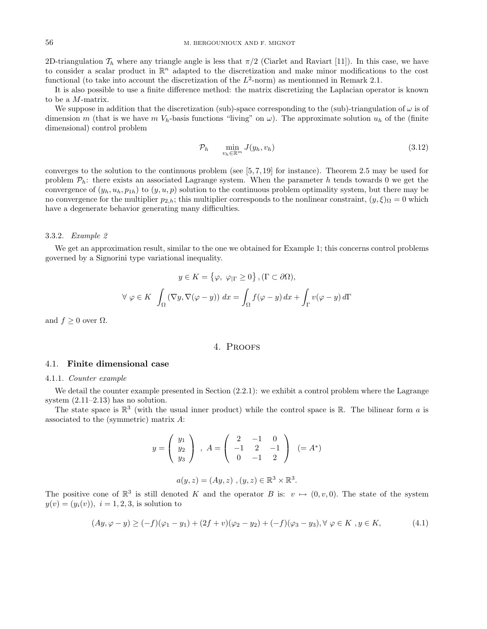2D-triangulation  $\mathcal{T}_h$  where any triangle angle is less that  $\pi/2$  (Ciarlet and Raviart [11]). In this case, we have to consider a scalar product in  $\mathbb{R}^n$  adapted to the discretization and make minor modifications to the cost functional (to take into account the discretization of the  $L^2$ -norm) as mentionned in Remark 2.1.

It is also possible to use a finite difference method: the matrix discretizing the Laplacian operator is known to be a M-matrix.

We suppose in addition that the discretization (sub)-space corresponding to the (sub)-triangulation of  $\omega$  is of dimension m (that is we have m  $V_h$ -basis functions "living" on  $\omega$ ). The approximate solution  $u_h$  of the (finite dimensional) control problem

$$
\mathcal{P}_h \qquad \min_{v_h \in \mathbb{R}^m} J(y_h, v_h) \tag{3.12}
$$

converges to the solution to the continuous problem (see [5, 7, 19] for instance). Theorem 2.5 may be used for problem  $\mathcal{P}_h$ : there exists an associated Lagrange system. When the parameter h tends towards 0 we get the convergence of  $(y_h, u_h, p_{1h})$  to  $(y, u, p)$  solution to the continuous problem optimality system, but there may be no convergence for the multiplier  $p_{2,h}$ ; this multiplier corresponds to the nonlinear constraint,  $(y,\xi)_{\Omega} = 0$  which have a degenerate behavior generating many difficulties.

#### 3.3.2. Example 2

We get an approximation result, similar to the one we obtained for Example 1; this concerns control problems governed by a Signorini type variational inequality.

$$
y \in K = \{ \varphi, \varphi_{|\Gamma} \ge 0 \}, (\Gamma \subset \partial \Omega),
$$
  

$$
\forall \varphi \in K \int_{\Omega} (\nabla y, \nabla(\varphi - y)) dx = \int_{\Omega} f(\varphi - y) dx + \int_{\Gamma} v(\varphi - y) d\Gamma
$$

and  $f \geq 0$  over  $\Omega$ .

### 4. Proofs

#### 4.1. **Finite dimensional case**

#### 4.1.1. Counter example

We detail the counter example presented in Section  $(2.2.1)$ : we exhibit a control problem where the Lagrange system  $(2.11-2.13)$  has no solution.

The state space is  $\mathbb{R}^3$  (with the usual inner product) while the control space is  $\mathbb{R}$ . The bilinear form a is associated to the (symmetric) matrix A:

$$
y = \left(\begin{array}{c} y_1 \\ y_2 \\ y_3 \end{array}\right) , A = \left(\begin{array}{ccc} 2 & -1 & 0 \\ -1 & 2 & -1 \\ 0 & -1 & 2 \end{array}\right) (= A^*)
$$

 $a(y, z) = (Ay, z) , (y, z) \in \mathbb{R}^3 \times \mathbb{R}^3.$ 

The positive cone of  $\mathbb{R}^3$  is still denoted K and the operator B is:  $v \mapsto (0, v, 0)$ . The state of the system  $y(v)=(y_i(v)), i = 1, 2, 3$ , is solution to

$$
(Ay, \varphi - y) \ge (-f)(\varphi_1 - y_1) + (2f + v)(\varphi_2 - y_2) + (-f)(\varphi_3 - y_3), \forall \varphi \in K, y \in K,
$$
\n(4.1)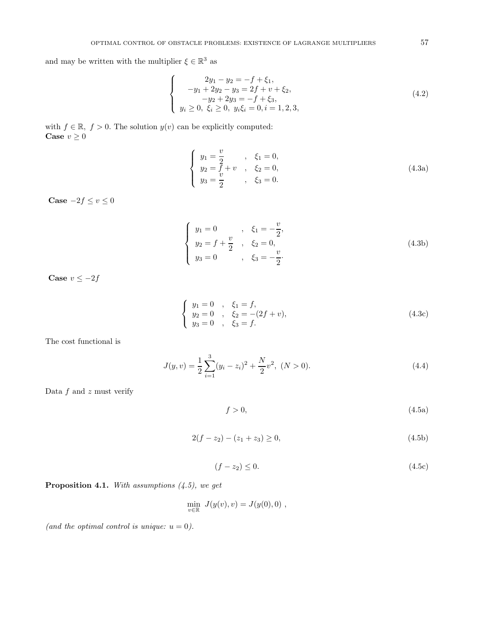and may be written with the multiplier  $\xi \in \mathbb{R}^3$  as

$$
\begin{cases}\n2y_1 - y_2 = -f + \xi_1, \\
-y_1 + 2y_2 - y_3 = 2f + v + \xi_2, \\
-y_2 + 2y_3 = -f + \xi_3, \\
y_i \ge 0, \ \xi_i \ge 0, \ y_i \xi_i = 0, \ i = 1, 2, 3,\n\end{cases}
$$
\n(4.2)

with  $f \in \mathbb{R}, f > 0$ . The solution  $y(v)$  can be explicitly computed: **Case**  $v \geq 0$ 

$$
\begin{cases}\n y_1 = \frac{v}{2} & , \quad \xi_1 = 0, \\
 y_2 = \frac{f}{2} + v & , \quad \xi_2 = 0, \\
 y_3 = \frac{v}{2} & , \quad \xi_3 = 0.\n\end{cases}
$$
\n(4.3a)

**Case**  $-2f \le v \le 0$ 

$$
\begin{cases}\n y_1 = 0 & , \quad \xi_1 = -\frac{v}{2}, \\
 y_2 = f + \frac{v}{2} & , \quad \xi_2 = 0, \\
 y_3 = 0 & , \quad \xi_3 = -\frac{v}{2}.\n\end{cases}
$$
\n(4.3b)

**Case**  $v \le -2f$ 

$$
\begin{cases}\n y_1 = 0, & \xi_1 = f, \\
 y_2 = 0, & \xi_2 = -(2f + v), \\
 y_3 = 0, & \xi_3 = f.\n\end{cases}
$$
\n(4.3c)

The cost functional is

$$
J(y,v) = \frac{1}{2} \sum_{i=1}^{3} (y_i - z_i)^2 + \frac{N}{2} v^2, \ (N > 0).
$$
 (4.4)

Data  $f$  and  $z$  must verify

$$
f > 0,\tag{4.5a}
$$

$$
2(f - z_2) - (z_1 + z_3) \ge 0,\t\t(4.5b)
$$

$$
(f - z_2) \le 0. \tag{4.5c}
$$

**Proposition 4.1.** With assumptions  $(4.5)$ , we get

$$
\min_{v \in \mathbb{R}} J(y(v), v) = J(y(0), 0) ,
$$

(and the optimal control is unique:  $u = 0$ ).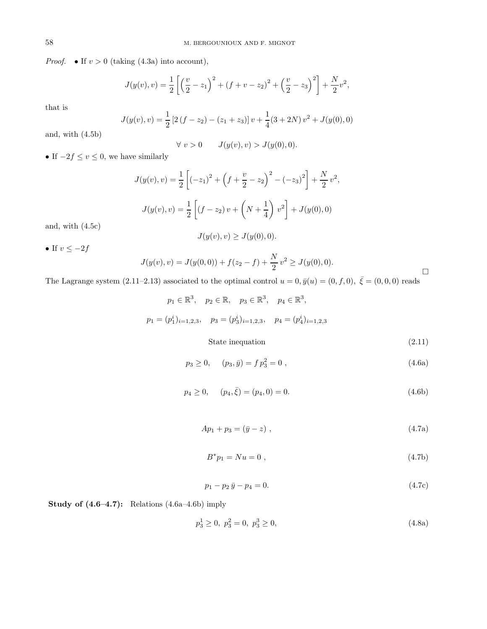*Proof.* • If  $v > 0$  (taking (4.3a) into account),

$$
J(y(v), v) = \frac{1}{2} \left[ \left( \frac{v}{2} - z_1 \right)^2 + (f + v - z_2)^2 + \left( \frac{v}{2} - z_3 \right)^2 \right] + \frac{N}{2} v^2,
$$

that is

$$
J(y(v), v) = \frac{1}{2} [2(f - z_2) - (z_1 + z_3)] v + \frac{1}{4} (3 + 2N) v^2 + J(y(0), 0)
$$

and, with (4.5b)

$$
\forall v > 0 \qquad J(y(v), v) > J(y(0), 0).
$$

• If  $-2f \le v \le 0$ , we have similarly

$$
J(y(v), v) = \frac{1}{2} \left[ (-z_1)^2 + \left( f + \frac{v}{2} - z_2 \right)^2 - (-z_3)^2 \right] + \frac{N}{2} v^2,
$$
  

$$
J(y(v), v) = \frac{1}{2} \left[ (f - z_2) v + \left( N + \frac{1}{4} \right) v^2 \right] + J(y(0), 0)
$$

and, with (4.5c)

$$
J(y(v), v) \ge J(y(0), 0).
$$

• If  $v \le -2f$ 

$$
J(y(v), v) = J(y(0, 0)) + f(z_2 - f) + \frac{N}{2}v^2 \ge J(y(0), 0).
$$

The Lagrange system (2.11–2.13) associated to the optimal control  $u = 0, \bar{y}(u) = (0, f, 0), \ \bar{\xi} = (0, 0, 0)$  reads

$$
p_1 \in \mathbb{R}^3, \quad p_2 \in \mathbb{R}, \quad p_3 \in \mathbb{R}^3, \quad p_4 \in \mathbb{R}^3,
$$
  

$$
p_1 = (p_1^i)_{i=1,2,3}, \quad p_3 = (p_3^i)_{i=1,2,3}, \quad p_4 = (p_4^i)_{i=1,2,3}
$$
  
State integration

State inequation (2.11)

$$
p_3 \ge 0, \quad (p_3, \bar{y}) = f p_3^2 = 0 , \tag{4.6a}
$$

 $\Box$ 

$$
p_4 \ge 0, \qquad (p_4, \bar{\xi}) = (p_4, 0) = 0. \tag{4.6b}
$$

$$
Ap_1 + p_3 = (\bar{y} - z) \tag{4.7a}
$$

$$
B^* p_1 = N u = 0 \t\t(4.7b)
$$

$$
p_1 - p_2 \bar{y} - p_4 = 0. \tag{4.7c}
$$

**Study of (4.6–4.7):** Relations (4.6a–4.6b) imply

$$
p_3^1 \ge 0, \ p_3^2 = 0, \ p_3^3 \ge 0,\tag{4.8a}
$$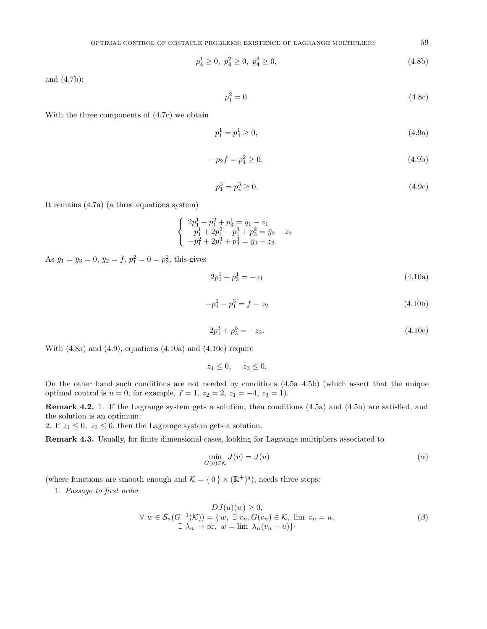$$
p_4^1 \ge 0, \ p_4^2 \ge 0, \ p_4^3 \ge 0,\tag{4.8b}
$$

and (4.7b):

$$
p_1^2 = 0.\t\t(4.8c)
$$

With the three components of (4.7c) we obtain

$$
p_1^1 = p_4^1 \ge 0,\tag{4.9a}
$$

$$
-p_2 f = p_4^2 \ge 0,\t\t(4.9b)
$$

$$
p_1^3 = p_4^3 \ge 0. \tag{4.9c}
$$

It remains (4.7a) (a three equations system)

$$
\begin{cases}\n2p_1^1 - p_1^2 + p_3^1 = \bar{y}_1 - z_1 \\
-p_1^1 + 2p_1^2 - p_1^3 + p_3^2 = \bar{y}_2 - z_2 \\
-p_1^2 + 2p_1^3 + p_3^3 = \bar{y}_3 - z_3.\n\end{cases}
$$

As  $\bar{y}_1 = \bar{y}_3 = 0$ ,  $\bar{y}_2 = f$ ,  $p_1^2 = 0 = p_3^2$ , this gives

$$
2p_1^1 + p_3^1 = -z_1 \tag{4.10a}
$$

$$
-p_1^1 - p_1^3 = f - z_2 \tag{4.10b}
$$

$$
2p_1^3 + p_3^3 = -z_3. \tag{4.10c}
$$

With  $(4.8a)$  and  $(4.9)$ , equations  $(4.10a)$  and  $(4.10c)$  require

$$
z_1 \leq 0, \quad z_3 \leq 0.
$$

On the other hand such conditions are not needed by conditions (4.5a–4.5b) (which assert that the unique optimal control is  $u = 0$ , for example,  $f = 1$ ,  $z_2 = 2$ ,  $z_1 = -4$ ,  $z_3 = 1$ ).

**Remark 4.2.** 1. If the Lagrange system gets a solution, then conditions (4.5a) and (4.5b) are satisfied, and the solution is an optimum.

2. If  $z_1 \leq 0$ ,  $z_3 \leq 0$ , then the Lagrange system gets a solution.

**Remark 4.3.** Usually, for finite dimensional cases, looking for Lagrange multipliers associated to

$$
\min_{G(v)\in\mathcal{K}} J(v) = J(u) \tag{a}
$$

(where functions are smooth enough and  $\mathcal{K} = \{0\} \times (\mathbb{R}^+)^q$ ), needs three steps:

1. Passage to first order

$$
DJ(u)(w) \ge 0,
$$
  
\n
$$
\forall w \in S_u(G^{-1}(\mathcal{K})) = \{w, \exists v_n, G(v_n) \in \mathcal{K}, \text{ lim } v_n = u,
$$
  
\n
$$
\exists \lambda_n \to \infty, w = \lim \lambda_n (v_n - u) \}.
$$
\n
$$
( \beta )
$$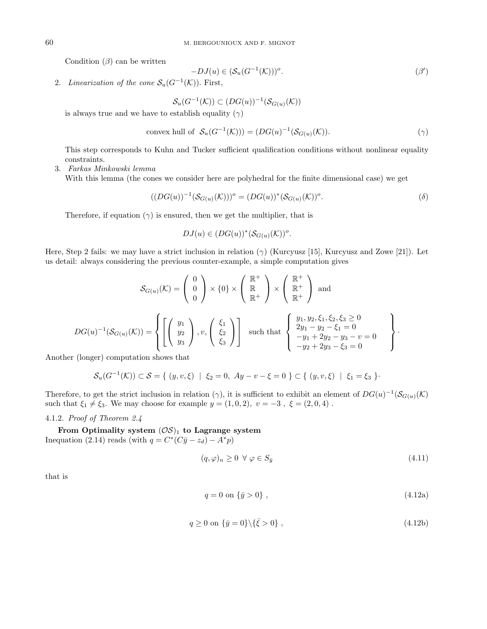Condition  $(\beta)$  can be written

$$
-DJ(u) \in (\mathcal{S}_u(G^{-1}(\mathcal{K})))^o. \tag{β'}
$$

2. Linearization of the cone  $\mathcal{S}_u(G^{-1}(\mathcal{K}))$ . First,

$$
\mathcal{S}_u(G^{-1}(\mathcal{K})) \subset (DG(u))^{-1}(\mathcal{S}_{G(u)}(\mathcal{K}))
$$

is always true and we have to establish equality  $(\gamma)$ 

convex hull of 
$$
\mathcal{S}_u(G^{-1}(\mathcal{K}))) = (DG(u)^{-1}(\mathcal{S}_{G(u)}(\mathcal{K})).
$$
 (7)

This step corresponds to Kuhn and Tucker sufficient qualification conditions without nonlinear equality constraints.

3. Farkas Minkowski lemma

With this lemma (the cones we consider here are polyhedral for the finite dimensional case) we get

$$
((DG(u))^{-1}(\mathcal{S}_{G(u)}(\mathcal{K})))^o = (DG(u))^*(\mathcal{S}_{G(u)}(\mathcal{K}))^o.
$$
 (δ)

Therefore, if equation  $(\gamma)$  is ensured, then we get the multiplier, that is

$$
DJ(u) \in (DG(u))^*(\mathcal{S}_{G(u)}(\mathcal{K}))^o.
$$

Here, Step 2 fails: we may have a strict inclusion in relation  $(\gamma)$  (Kurcyusz [15], Kurcyusz and Zowe [21]). Let us detail: always considering the previous counter-example, a simple computation gives

$$
S_{G(u)}(\mathcal{K}) = \begin{pmatrix} 0 \\ 0 \\ 0 \end{pmatrix} \times \{0\} \times \begin{pmatrix} \mathbb{R}^+ \\ \mathbb{R} \\ \mathbb{R}^+ \end{pmatrix} \times \begin{pmatrix} \mathbb{R}^+ \\ \mathbb{R}^+ \\ \mathbb{R}^+ \end{pmatrix} \text{ and}
$$

$$
DG(u)^{-1}(\mathcal{S}_{G(u)}(\mathcal{K})) = \left\{ \begin{bmatrix} y_1 \\ y_2 \\ y_3 \end{bmatrix}, v, \begin{pmatrix} \xi_1 \\ \xi_2 \\ \xi_3 \end{pmatrix} \right\} \text{ such that } \begin{cases} y_1, y_2, \xi_1, \xi_2, \xi_3 \ge 0 \\ 2y_1 - y_2 - \xi_1 = 0 \\ -y_1 + 2y_2 - y_3 - v = 0 \\ -y_2 + 2y_3 - \xi_3 = 0 \end{cases} \right\}.
$$

Another (longer) computation shows that

$$
S_u(G^{-1}(\mathcal{K})) \subset S = \{ (y, v, \xi) \mid \xi_2 = 0, Ay - v - \xi = 0 \} \subset \{ (y, v, \xi) \mid \xi_1 = \xi_3 \}.
$$

Therefore, to get the strict inclusion in relation (γ), it is sufficient to exhibit an element of  $DG(u)^{-1}(\mathcal{S}_{G(u)}(\mathcal{K}))$ such that  $\xi_1 \neq \xi_3$ . We may choose for example  $y = (1, 0, 2), v = -3, \xi = (2, 0, 4)$ .

4.1.2. Proof of Theorem 2.4

From Optimality system  $(\mathcal{OS})_1$  to Lagrange system Inequation (2.14) reads (with  $q = C^*(C\bar{y} - z_d) - A^*p$ )

$$
(q,\varphi)_n \ge 0 \ \forall \ \varphi \in S_{\bar{y}} \tag{4.11}
$$

that is

$$
q = 0 \text{ on } \{\bar{y} > 0\},\tag{4.12a}
$$

$$
q \ge 0 \text{ on } \{\bar{y} = 0\} \setminus {\{\bar{\xi} > 0\}},\tag{4.12b}
$$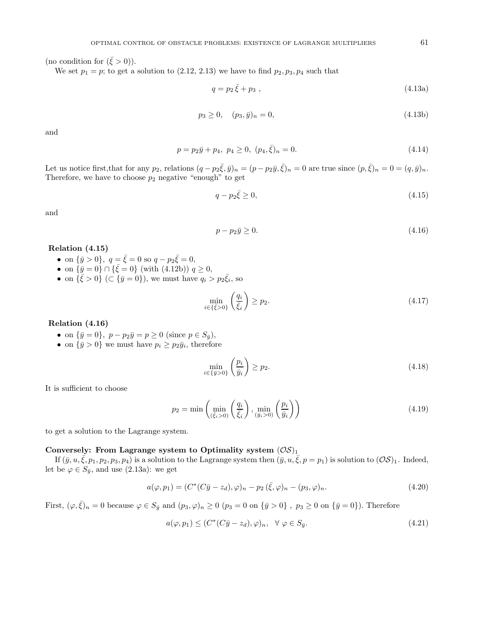(no condition for  $({\bar \xi} > 0)$ ).

We set  $p_1 = p$ ; to get a solution to  $(2.12, 2.13)$  we have to find  $p_2, p_3, p_4$  such that

$$
q = p_2 \bar{\xi} + p_3 , \qquad (4.13a)
$$

$$
p_3 \ge 0, \quad (p_3, \bar{y})_n = 0,\tag{4.13b}
$$

and

$$
p = p_2 \bar{y} + p_4, \ p_4 \ge 0, \ (p_4, \bar{\xi})_n = 0. \tag{4.14}
$$

Let us notice first, that for any  $p_2$ , relations  $(q - p_2 \bar{\xi}, \bar{y})_n = (p - p_2 \bar{y}, \bar{\xi})_n = 0$  are true since  $(p, \bar{\xi})_n = 0 = (q, \bar{y})_n$ . Therefore, we have to choose  $p_2$  negative "enough" to get

$$
q - p_2 \bar{\xi} \ge 0,\tag{4.15}
$$

and

$$
p - p_2 \bar{y} \ge 0. \tag{4.16}
$$

## **Relation (4.15)**

- on  ${\bar{y} > 0}$ ,  $q = {\bar{\xi}} = 0$  so  $q p_2 {\bar{\xi}} = 0$ ,
- on  $\{\bar{y} = 0\} \cap {\bar{\xi}} = 0$  (with (4.12b))  $q \ge 0$ ,
- on  $\{\bar{\xi} > 0\}$  ( $\subset \{\bar{y} = 0\}$ ), we must have  $q_i > p_2\bar{\xi}_i$ , so

$$
\min_{i \in \{\bar{\xi} > 0\}} \left( \frac{q_i}{\bar{\xi}_i} \right) \ge p_2. \tag{4.17}
$$

## **Relation (4.16)**

- on  $\{\bar{y} = 0\}$ ,  $p p_2\bar{y} = p \ge 0$  (since  $p \in S_{\bar{y}}$ ),
- on  $\{\bar{y} > 0\}$  we must have  $p_i \geq p_2\bar{y}_i$ , therefore

$$
\min_{i \in \{\bar{y} > 0\}} \left(\frac{p_i}{\bar{y}_i}\right) \ge p_2. \tag{4.18}
$$

It is sufficient to choose

$$
p_2 = \min\left(\min_{(\bar{\xi}_i > 0)} \left(\frac{q_i}{\bar{\xi}_i}\right), \min_{(\bar{y}_i > 0)} \left(\frac{p_i}{\bar{y}_i}\right)\right) \tag{4.19}
$$

to get a solution to the Lagrange system.

### Conversely: From Lagrange system to Optimality system  $(\mathcal{OS})_1$

If  $(\bar{y}, u, \xi, p_1, p_2, p_3, p_4)$  is a solution to the Lagrange system then  $(\bar{y}, u, \xi, p = p_1)$  is solution to  $(\mathcal{OS})_1$ . Indeed, let be  $\varphi \in S_{\bar{y}}$ , and use (2.13a): we get

$$
a(\varphi, p_1) = (C^*(C\bar{y} - z_d), \varphi)_n - p_2(\bar{\xi}, \varphi)_n - (p_3, \varphi)_n.
$$
\n(4.20)

First,  $(\varphi, \bar{\xi})_n = 0$  because  $\varphi \in S_{\bar{y}}$  and  $(p_3, \varphi)_n \ge 0$   $(p_3 = 0 \text{ on } {\bar{y} > 0}$ ,  $p_3 \ge 0 \text{ on } {\bar{y} = 0}$ ). Therefore

$$
a(\varphi, p_1) \le (C^*(C\bar{y} - z_d), \varphi)_n, \quad \forall \varphi \in S_{\bar{y}}.\tag{4.21}
$$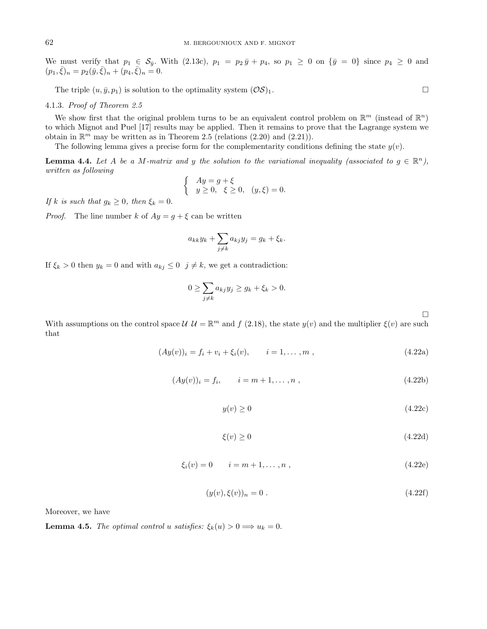We must verify that  $p_1 \in S_{\bar{y}}$ . With (2.13c),  $p_1 = p_2 \bar{y} + p_4$ , so  $p_1 \geq 0$  on  $\{\bar{y} = 0\}$  since  $p_4 \geq 0$  and  $(p_1, \bar{\xi})_n = p_2(\bar{y}, \bar{\xi})_n + (p_4, \bar{\xi})_n = 0.$ 

The triple  $(u, \bar{y}, p_1)$  is solution to the optimality system  $(\mathcal{OS})_1$ .

## 4.1.3. Proof of Theorem 2.5

We show first that the original problem turns to be an equivalent control problem on  $\mathbb{R}^m$  (instead of  $\mathbb{R}^n$ ) to which Mignot and Puel [17] results may be applied. Then it remains to prove that the Lagrange system we obtain in  $\mathbb{R}^m$  may be written as in Theorem 2.5 (relations (2.20) and (2.21)).

The following lemma gives a precise form for the complementarity conditions defining the state  $y(v)$ .

**Lemma 4.4.** Let A be a M-matrix and y the solution to the variational inequality (associated to  $g \in \mathbb{R}^n$ ), written as following

$$
\begin{cases}\nAy = g + \xi \\
y \ge 0, \xi \ge 0, (y, \xi) = 0.\n\end{cases}
$$

If k is such that  $q_k \geq 0$ , then  $\xi_k = 0$ .

*Proof.* The line number k of  $Ay = g + \xi$  can be written

$$
a_{kk}y_k + \sum_{j \neq k} a_{kj}y_j = g_k + \xi_k.
$$

If  $\xi_k > 0$  then  $y_k = 0$  and with  $a_{kj} \leq 0$   $j \neq k$ , we get a contradiction:

$$
0 \ge \sum_{j \ne k} a_{kj} y_j \ge g_k + \xi_k > 0.
$$

 $\Box$ 

With assumptions on the control space  $\mathcal{U} \mathcal{U} = \mathbb{R}^m$  and f (2.18), the state  $y(v)$  and the multiplier  $\xi(v)$  are such that

$$
(Ay(v))_i = f_i + v_i + \xi_i(v), \qquad i = 1, ..., m,
$$
\n(4.22a)

$$
(Ay(v))_i = f_i, \qquad i = m+1, \dots, n \tag{4.22b}
$$

$$
y(v) \ge 0 \tag{4.22c}
$$

$$
\xi(v) \ge 0\tag{4.22d}
$$

$$
\xi_i(v) = 0 \qquad i = m+1, \dots, n \tag{4.22e}
$$

$$
(y(v), \xi(v))_n = 0.
$$
\n(4.22f)

Moreover, we have

**Lemma 4.5.** The optimal control u satisfies:  $\xi_k(u) > 0 \Longrightarrow u_k = 0$ .

$$
\Box
$$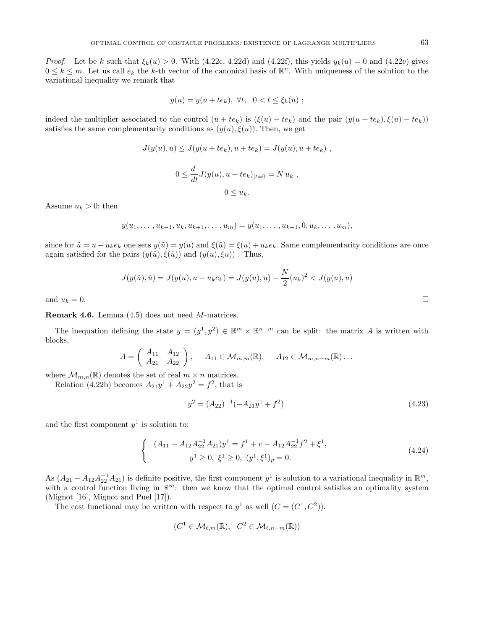*Proof.* Let be k such that  $\xi_k(u) > 0$ . With (4.22c, 4.22d) and (4.22f), this yields  $y_k(u) = 0$  and (4.22e) gives  $0 \leq k \leq m$ . Let us call  $e_k$  the k-th vector of the canonical basis of  $\mathbb{R}^n$ . With uniqueness of the solution to the variational inequality we remark that

$$
y(u) = y(u + te_k), \ \forall t, \quad 0 < t \leq \xi_k(u) \ ;
$$

indeed the multiplier associated to the control  $(u + te_k)$  is  $(\xi(u) - te_k)$  and the pair  $(y(u + te_k), \xi(u) - te_k)$ satisfies the same complementarity conditions as  $(y(u), \xi(u))$ . Then, we get

$$
J(y(u), u) \le J(y(u + te_k), u + te_k) = J(y(u), u + te_k),
$$
  

$$
0 \le \frac{d}{dt} J(y(u), u + te_k)|_{t=0} = Nu_k,
$$
  

$$
0 \le u_k.
$$

Assume  $u_k > 0$ ; then

$$
y(u_1, \ldots, u_{k-1}, u_k, u_{k+1}, \ldots, u_m) = y(u_1, \ldots, u_{k-1}, 0, u_k, \ldots, u_m),
$$

since for  $\tilde{u} = u - u_k e_k$  one sets  $y(\tilde{u}) = y(u)$  and  $\xi(\tilde{u}) = \xi(u) + u_k e_k$ . Same complementarity conditions are once again satisfied for the pairs  $(y(\tilde{u}), \xi(\tilde{u}))$  and  $(y(u), \xi u)$ . Thus,

$$
J(y(\tilde{u}), \tilde{u}) = J(y(u), u - u_k e_k) = J(y(u), u) - \frac{N}{2}(u_k)^2 < J(y(u), u)
$$

and  $u_k = 0$ .

**Remark 4.6.** Lemma (4.5) does not need M-matrices.

The inequation defining the state  $y = (y^1, y^2) \in \mathbb{R}^m \times \mathbb{R}^{n-m}$  can be split: the matrix A is written with blocks,

$$
A = \begin{pmatrix} A_{11} & A_{12} \\ A_{21} & A_{22} \end{pmatrix}, \quad A_{11} \in \mathcal{M}_{m,m}(\mathbb{R}), \quad A_{12} \in \mathcal{M}_{m,n-m}(\mathbb{R}) \dots
$$

where  $\mathcal{M}_{m,n}(\mathbb{R})$  denotes the set of real  $m\times n$  matrices.

Relation (4.22b) becomes  $A_{21}y^{1} + A_{22}y^{2} = f^{2}$ , that is

$$
y^2 = (A_{22})^{-1}(-A_{21}y^1 + f^2)
$$
\n(4.23)

and the first component  $y^1$  is solution to:

$$
\begin{cases} (A_{11} - A_{12}A_{22}^{-1}A_{21})y^{1} = f^{1} + v - A_{12}A_{22}^{-1}f^{2} + \xi^{1}, \\ y^{1} \ge 0, \ \xi^{1} \ge 0, \ (y^{1}, \xi^{1})_{p} = 0. \end{cases}
$$
\n(4.24)

As  $(A_{21} - A_{12}A_{22}^{-1}A_{21})$  is definite positive, the first component  $y^1$  is solution to a variational inequality in  $\mathbb{R}^m$ , with a control function living in  $\mathbb{R}^m$ : then we know that the optimal control satisfies an optimality system (Mignot [16], Mignot and Puel [17]).

The cost functional may be written with respect to  $y^1$  as well  $(C = (C^1, C^2))$ .

$$
(C^1 \in \mathcal{M}_{\ell,m}(\mathbb{R}), \ C^2 \in \mathcal{M}_{\ell,n-m}(\mathbb{R}))
$$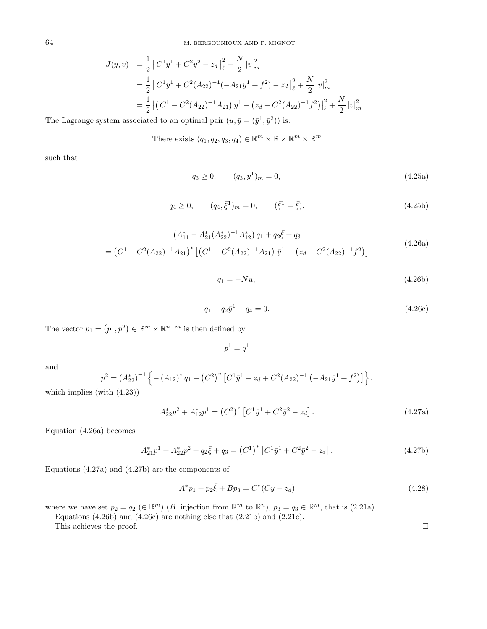$$
J(y, v) = \frac{1}{2} |C^1 y^1 + C^2 y^2 - z_d |_{\ell}^2 + \frac{N}{2} |v|_m^2
$$
  
=  $\frac{1}{2} |C^1 y^1 + C^2 (A_{22})^{-1} (-A_{21} y^1 + f^2) - z_d |_{\ell}^2 + \frac{N}{2} |v|_m^2$   
=  $\frac{1}{2} |(C^1 - C^2 (A_{22})^{-1} A_{21}) y^1 - (z_d - C^2 (A_{22})^{-1} f^2) |_{\ell}^2 + \frac{N}{2} |v|_m^2$ .

The Lagrange system associated to an optimal pair  $(u, \bar{y} = (\bar{y}^1, \bar{y}^2))$  is:

There exists  $(q_1, q_2, q_3, q_4) \in \mathbb{R}^m \times \mathbb{R} \times \mathbb{R}^m \times \mathbb{R}^m$ 

such that

$$
q_3 \ge 0, \qquad (q_3, \bar{y}^1)_m = 0,\tag{4.25a}
$$

$$
q_4 \ge 0, \qquad (q_4, \bar{\xi}^1)_m = 0, \qquad (\bar{\xi}^1 = \bar{\xi}). \tag{4.25b}
$$

$$
(A_{11}^* - A_{21}^*(A_{22}^*)^{-1}A_{12}^*) q_1 + q_2 \bar{\xi} + q_3
$$
  
=  $(C^1 - C^2(A_{22})^{-1}A_{21})^* [(C^1 - C^2(A_{22})^{-1}A_{21}) \bar{y}^1 - (z_d - C^2(A_{22})^{-1}f^2)]$  (4.26a)

$$
q_1 = -Nu,\tag{4.26b}
$$

$$
q_1 - q_2 \bar{y}^1 - q_4 = 0. \tag{4.26c}
$$

The vector  $p_1 = (p^1, p^2) \in \mathbb{R}^m \times \mathbb{R}^{n-m}$  is then defined by

$$
p^1 = q^1
$$

and

$$
p^{2} = (A_{22}^{*})^{-1} \left\{ - (A_{12})^{*} q_{1} + (C^{2})^{*} \left[ C^{1} \bar{y}^{1} - z_{d} + C^{2} (A_{22})^{-1} \left( -A_{21} \bar{y}^{1} + f^{2} \right) \right] \right\},
$$

which implies (with (4.23))

$$
A_{22}^* p^2 + A_{12}^* p^1 = (C^2)^* [C^1 \bar{y}^1 + C^2 \bar{y}^2 - z_d]. \qquad (4.27a)
$$

Equation (4.26a) becomes

$$
A_{21}^* p^1 + A_{22}^* p^2 + q_2 \bar{\xi} + q_3 = (C^1)^* [C^1 \bar{y}^1 + C^2 \bar{y}^2 - z_d]. \qquad (4.27b)
$$

Equations (4.27a) and (4.27b) are the components of

$$
A^*p_1 + p_2\bar{\xi} + Bp_3 = C^*(C\bar{y} - z_d)
$$
\n(4.28)

where we have set  $p_2 = q_2 \in \mathbb{R}^m$ )  $(B \text{ injection from } \mathbb{R}^m \text{ to } \mathbb{R}^n)$ ,  $p_3 = q_3 \in \mathbb{R}^m$ , that is  $(2.21a)$ .

Equations (4.26b) and (4.26c) are nothing else that (2.21b) and (2.21c).

This achieves the proof.  $\Box$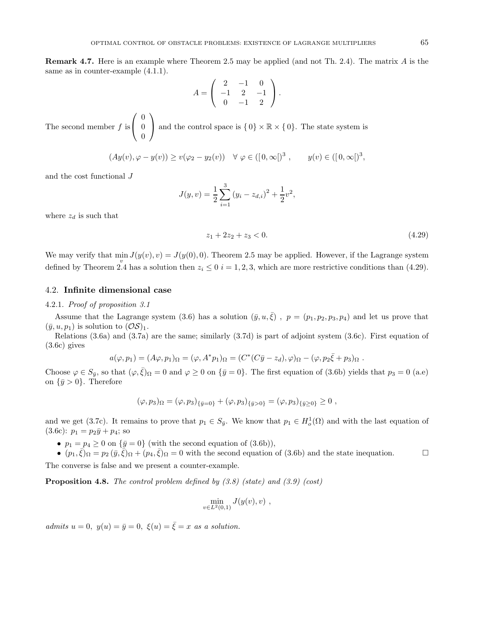**Remark 4.7.** Here is an example where Theorem 2.5 may be applied (and not Th. 2.4). The matrix A is the same as in counter-example (4.1.1).

$$
A = \left( \begin{array}{rrr} 2 & -1 & 0 \\ -1 & 2 & -1 \\ 0 & -1 & 2 \end{array} \right).
$$

The second member  $f$  is  $\sqrt{ }$  $\mathcal{L}$ 0 0 0  $\setminus$ and the control space is  $\{0\} \times \mathbb{R} \times \{0\}$ . The state system is

$$
(Ay(v), \varphi - y(v)) \ge v(\varphi_2 - y_2(v)) \quad \forall \varphi \in ([0, \infty[)^3 , \qquad y(v) \in ([0, \infty[)^3 ,
$$

and the cost functional J

$$
J(y, v) = \frac{1}{2} \sum_{i=1}^{3} (y_i - z_{d,i})^2 + \frac{1}{2} v^2,
$$

where  $z_d$  is such that

$$
z_1 + 2z_2 + z_3 < 0. \tag{4.29}
$$

We may verify that  $\min J(y(v), v) = J(y(0), 0)$ . Theorem 2.5 may be applied. However, if the Lagrange system defined by Theorem 2.4 has a solution then  $z_i \leq 0$  i = 1, 2, 3, which are more restrictive conditions than (4.29).

## 4.2. **Infinite dimensional case**

### 4.2.1. Proof of proposition 3.1

Assume that the Lagrange system (3.6) has a solution  $(\bar{y}, u, \bar{\xi})$ ,  $p = (p_1, p_2, p_3, p_4)$  and let us prove that  $(\bar{y}, u, p_1)$  is solution to  $(\mathcal{OS})_1$ .

Relations (3.6a) and (3.7a) are the same; similarly (3.7d) is part of adjoint system (3.6c). First equation of (3.6c) gives

$$
a(\varphi, p_1) = (A\varphi, p_1)_{\Omega} = (\varphi, A^*p_1)_{\Omega} = (C^*(C\bar{y} - z_d), \varphi)_{\Omega} - (\varphi, p_2\bar{\xi} + p_3)_{\Omega}.
$$

Choose  $\varphi \in S_{\bar{y}}$ , so that  $(\varphi, \bar{\xi})_{\Omega} = 0$  and  $\varphi \ge 0$  on  $\{\bar{y} = 0\}$ . The first equation of (3.6b) yields that  $p_3 = 0$  (a.e) on  $\{\bar{y} > 0\}$ . Therefore

$$
(\varphi, p_3)_{\Omega} = (\varphi, p_3)_{\{\bar{y}=0\}} + (\varphi, p_3)_{\{\bar{y}>0\}} = (\varphi, p_3)_{\{\bar{y}\geq 0\}} \geq 0,
$$

and we get (3.7c). It remains to prove that  $p_1 \in S_{\bar{y}}$ . We know that  $p_1 \in H_o^1(\Omega)$  and with the last equation of  $(3.6c): p_1 = p_2\bar{y} + p_4$ ; so

•  $p_1 = p_4 \geq 0$  on  $\{\bar{y} = 0\}$  (with the second equation of (3.6b)),

•  $(p_1,\xi)_{\Omega} = p_2 (\bar{y},\xi)_{\Omega} + (p_4,\xi)_{\Omega} = 0$  with the second equation of (3.6b) and the state inequation.

The converse is false and we present a counter-example.

**Proposition 4.8.** The control problem defined by (3.8) (state) and (3.9) (cost)

$$
\min_{v \in L^2(0,1)} J(y(v), v) ,
$$

admits  $u = 0$ ,  $y(u) = \overline{y} = 0$ ,  $\xi(u) = \overline{\xi} = x$  as a solution.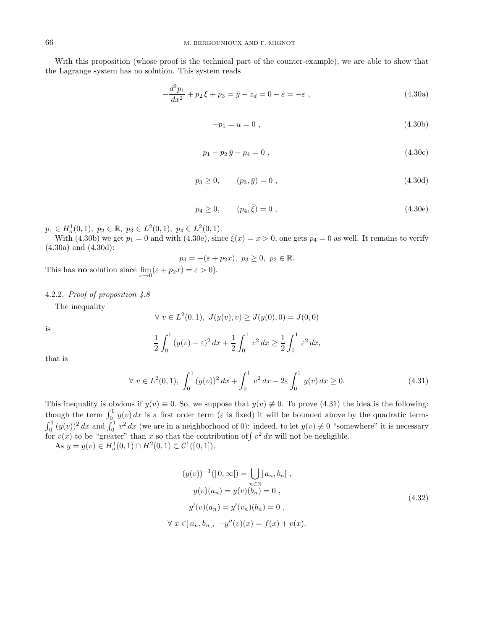With this proposition (whose proof is the technical part of the counter-example), we are able to show that the Lagrange system has no solution. This system reads

$$
-\frac{d^2p_1}{dx^2} + p_2\xi + p_3 = \bar{y} - z_d = 0 - \varepsilon = -\varepsilon ,
$$
\n(4.30a)

$$
-p_1 = u = 0 \t{,} \t(4.30b)
$$

$$
p_1 - p_2 \bar{y} - p_4 = 0 \tag{4.30c}
$$

$$
p_3 \ge 0, \qquad (p_3, \bar{y}) = 0 , \qquad (4.30d)
$$

$$
p_4 \ge 0, \qquad (p_4, \bar{\xi}) = 0 \tag{4.30e}
$$

 $p_1 \in H_o^1(0,1), \ p_2 \in \mathbb{R}, \ p_3 \in L^2(0,1), \ p_4 \in L^2(0,1).$ 

With (4.30b) we get  $p_1 = 0$  and with (4.30e), since  $\bar{\xi}(x) = x > 0$ , one gets  $p_4 = 0$  as well. It remains to verify (4.30a) and (4.30d):

$$
p_3 = -(\varepsilon + p_2 x), \ p_3 \ge 0, \ p_2 \in \mathbb{R}.
$$

This has **no** solution since  $\lim_{x\to 0} (\varepsilon + p_2 x) = \varepsilon > 0$ .

### 4.2.2. Proof of proposition 4.8

The inequality

$$
\forall v \in L^2(0,1), J(y(v), v) \ge J(y(0), 0) = J(0,0)
$$

is

$$
\frac{1}{2} \int_0^1 (y(v) - \varepsilon)^2 \, dx + \frac{1}{2} \int_0^1 v^2 \, dx \ge \frac{1}{2} \int_0^1 \varepsilon^2 \, dx,
$$

that is

$$
\forall v \in L^{2}(0,1), \int_{0}^{1} (y(v))^{2} dx + \int_{0}^{1} v^{2} dx - 2\varepsilon \int_{0}^{1} y(v) dx \ge 0.
$$
 (4.31)

This inequality is obvious if  $y(v) \equiv 0$ . So, we suppose that  $y(v) \not\equiv 0$ . To prove (4.31) the idea is the following: though the term  $\int_0^1 y(v) dx$  is a first order term ( $\varepsilon$  is fixed) it will be bounded above by the quadratic terms  $\int_0^1 (y(v))^2 dx$  and  $\int_0^1 v^2 dx$  (we are in a neighborhood of 0): indeed, to let  $y(v) \neq 0$  "somewhere" it is necessary for  $v(x)$  to be "greater" than x so that the contribution of  $\int v^2 dx$  will not be negligible.

As  $y = y(v) \in H_o^1(0,1) \cap H^2(0,1) \subset C^1([0,1]),$ 

$$
(y(v))^{-1}([0, \infty]) = \bigcup_{n \in \mathbb{N}} a_n, b_n[,
$$
  
\n
$$
y(v)(a_n) = y(v)(b_n) = 0,
$$
  
\n
$$
y'(v)(a_n) = y'(v_n)(b_n) = 0,
$$
  
\n
$$
\forall x \in ]a_n, b_n[, -y''(v)(x) = f(x) + v(x).
$$
\n(4.32)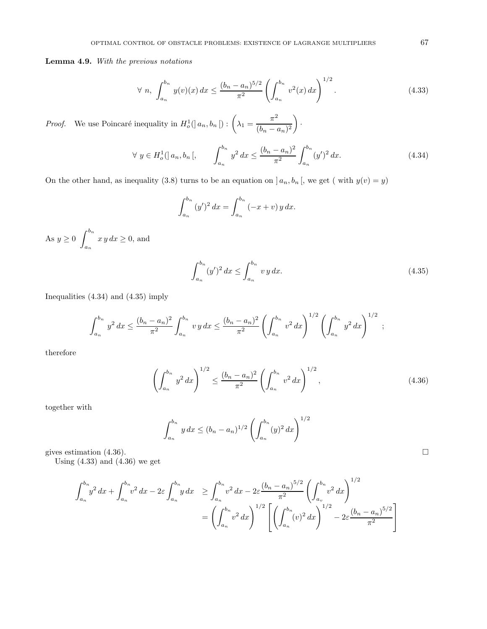**Lemma 4.9.** With the previous notations

$$
\forall n, \int_{a_n}^{b_n} y(v)(x) dx \le \frac{(b_n - a_n)^{5/2}}{\pi^2} \left( \int_{a_n}^{b_n} v^2(x) dx \right)^{1/2}.
$$
 (4.33)

*Proof.* We use Poincaré inequality in  $H_o^1(] a_n, b_n [): \left( \lambda_1 = \frac{\pi^2}{(b_n - a_n)^2} \right)$  $\Big)$  .

$$
\forall y \in H_o^1(|a_n, b_n|, \qquad \int_{a_n}^{b_n} y^2 dx \le \frac{(b_n - a_n)^2}{\pi^2} \int_{a_n}^{b_n} (y')^2 dx. \tag{4.34}
$$

On the other hand, as inequality (3.8) turns to be an equation on  $] a_n, b_n [$ , we get ( with  $y(v) = y$ )

$$
\int_{a_n}^{b_n} (y')^2 dx = \int_{a_n}^{b_n} (-x + v) y dx.
$$

As  $y \geq 0$   $\int^{b_n}$  $a_n$  $x y dx \geq 0$ , and

$$
\int_{a_n}^{b_n} (y')^2 dx \le \int_{a_n}^{b_n} vy dx.
$$
\n(4.35)

Inequalities (4.34) and (4.35) imply

$$
\int_{a_n}^{b_n} y^2 dx \leq \frac{(b_n - a_n)^2}{\pi^2} \int_{a_n}^{b_n} vy dx \leq \frac{(b_n - a_n)^2}{\pi^2} \left( \int_{a_n}^{b_n} v^2 dx \right)^{1/2} \left( \int_{a_n}^{b_n} y^2 dx \right)^{1/2} ;
$$

therefore

$$
\left(\int_{a_n}^{b_n} y^2 dx\right)^{1/2} \le \frac{(b_n - a_n)^2}{\pi^2} \left(\int_{a_n}^{b_n} v^2 dx\right)^{1/2},\tag{4.36}
$$

together with

$$
\int_{a_n}^{b_n} y \, dx \le (b_n - a_n)^{1/2} \left( \int_{a_n}^{b_n} (y)^2 \, dx \right)^{1/2}
$$

gives estimation  $(4.36)$ .

Using  $(4.33)$  and  $(4.36)$  we get

$$
\int_{a_n}^{b_n} y^2 dx + \int_{a_n}^{b_n} v^2 dx - 2\varepsilon \int_{a_n}^{b_n} y dx \ge \int_{a_n}^{b_n} v^2 dx - 2\varepsilon \frac{(b_n - a_n)^{5/2}}{\pi^2} \left( \int_{a_v}^{b_n} v^2 dx \right)^{1/2}
$$

$$
= \left( \int_{a_n}^{b_n} v^2 dx \right)^{1/2} \left[ \left( \int_{a_n}^{b_n} (v)^2 dx \right)^{1/2} - 2\varepsilon \frac{(b_n - a_n)^{5/2}}{\pi^2} \right]
$$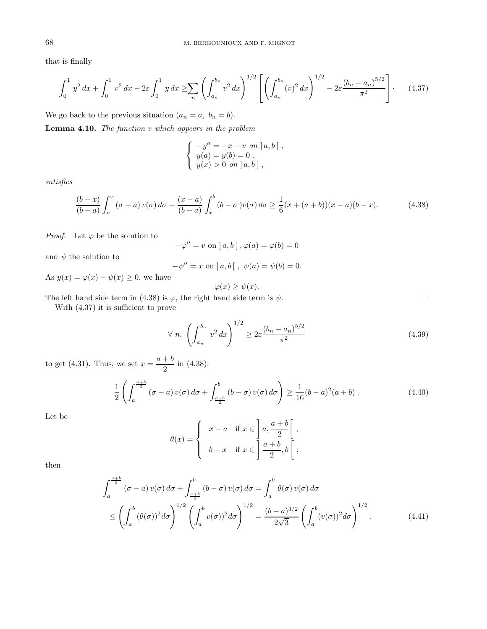that is finally

$$
\int_0^1 y^2 dx + \int_0^1 v^2 dx - 2\varepsilon \int_0^1 y dx \ge \sum_n \left( \int_{a_n}^{b_n} v^2 dx \right)^{1/2} \left[ \left( \int_{a_n}^{b_n} (v)^2 dx \right)^{1/2} - 2\varepsilon \frac{(b_n - a_n)^{5/2}}{\pi^2} \right].
$$
 (4.37)

We go back to the previous situation  $(a_n = a, b_n = b)$ .

**Lemma 4.10.** The function v which appears in the problem

$$
\begin{cases}\n-y'' = -x + v \text{ on } a, b [ , \\
y(a) = y(b) = 0 , \\
y(x) > 0 \text{ on } a, b [ ,\n\end{cases}
$$

satisfies

$$
\frac{(b-x)}{(b-a)} \int_{a}^{x} (\sigma - a) v(\sigma) d\sigma + \frac{(x-a)}{(b-a)} \int_{x}^{b} (b - \sigma) v(\sigma) d\sigma \ge \frac{1}{6} (x + (a+b))(x-a)(b-x). \tag{4.38}
$$

*Proof.* Let  $\varphi$  be the solution to

$$
-\varphi'' = v \text{ on } ]a, b[ , \varphi(a) = \varphi(b) = 0
$$

and  $\psi$  the solution to

$$
-\psi'' = x \text{ on } ]a, b[ , \psi(a) = \psi(b) = 0.
$$

As  $y(x) = \varphi(x) - \psi(x) \ge 0$ , we have

$$
\varphi(x) \ge \psi(x).
$$

The left hand side term in (4.38) is  $\varphi$ , the right hand side term is  $\psi$ .

With (4.37) it is sufficient to prove

$$
\forall n, \left( \int_{a_n}^{b_n} v^2 dx \right)^{1/2} \ge 2\varepsilon \frac{(b_n - a_n)^{5/2}}{\pi^2} \tag{4.39}
$$

to get (4.31). Thus, we set  $x = \frac{a+b}{2}$  in (4.38):

$$
\frac{1}{2} \left( \int_{a}^{\frac{a+b}{2}} (\sigma - a) v(\sigma) d\sigma + \int_{\frac{a+b}{2}}^{b} (b - \sigma) v(\sigma) d\sigma \right) \geq \frac{1}{16} (b - a)^2 (a + b) . \tag{4.40}
$$

Let be

$$
\theta(x) = \begin{cases} x - a & \text{if } x \in \left] a, \frac{a + b}{2} \right[, \\ b - x & \text{if } x \in \left] \frac{a + b}{2}, b \right[, \end{cases}
$$

then

$$
\int_{a}^{\frac{a+b}{2}} (\sigma - a) v(\sigma) d\sigma + \int_{\frac{a+b}{2}}^{b} (b - \sigma) v(\sigma) d\sigma = \int_{a}^{b} \theta(\sigma) v(\sigma) d\sigma
$$
  

$$
\leq \left( \int_{a}^{b} (\theta(\sigma))^{2} d\sigma \right)^{1/2} \left( \int_{a}^{b} v(\sigma) \right)^{2} d\sigma \right)^{1/2} = \frac{(b-a)^{3/2}}{2\sqrt{3}} \left( \int_{a}^{b} (v(\sigma))^{2} d\sigma \right)^{1/2}.
$$
 (4.41)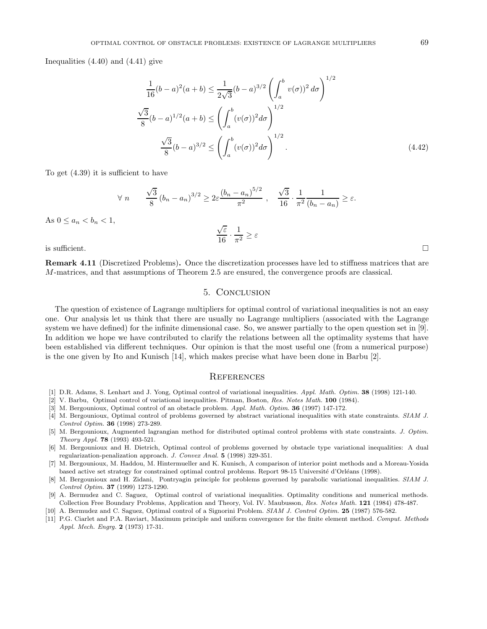Inequalities (4.40) and (4.41) give

$$
\frac{1}{16}(b-a)^2(a+b) \le \frac{1}{2\sqrt{3}}(b-a)^{3/2} \left(\int_a^b v(\sigma)^2 d\sigma\right)^{1/2}
$$

$$
\frac{\sqrt{3}}{8}(b-a)^{1/2}(a+b) \le \left(\int_a^b (v(\sigma))^2 d\sigma\right)^{1/2}
$$

$$
\frac{\sqrt{3}}{8}(b-a)^{3/2} \le \left(\int_a^b (v(\sigma))^2 d\sigma\right)^{1/2}.
$$
(4.42)

To get (4.39) it is sufficient to have

$$
\forall n \qquad \frac{\sqrt{3}}{8} (b_n - a_n)^{3/2} \ge 2\varepsilon \frac{(b_n - a_n)^{5/2}}{\pi^2}, \quad \frac{\sqrt{3}}{16} \cdot \frac{1}{\pi^2} \frac{1}{(b_n - a_n)} \ge \varepsilon.
$$

As  $0 \le a_n \le b_n \le 1$ ,

 $\frac{\sqrt{\varepsilon}}{16} \cdot \frac{1}{\pi^2} \geq \varepsilon$ 

is sufficient.  $\Box$ 

**Remark 4.11** (Discretized Problems)**.** Once the discretization processes have led to stiffness matrices that are M-matrices, and that assumptions of Theorem 2.5 are ensured, the convergence proofs are classical.

## 5. Conclusion

The question of existence of Lagrange multipliers for optimal control of variational inequalities is not an easy one. Our analysis let us think that there are usually no Lagrange multipliers (associated with the Lagrange system we have defined) for the infinite dimensional case. So, we answer partially to the open question set in [9]. In addition we hope we have contributed to clarify the relations between all the optimality systems that have been established via different techniques. Our opinion is that the most useful one (from a numerical purpose) is the one given by Ito and Kunisch [14], which makes precise what have been done in Barbu [2].

### **REFERENCES**

- [1] D.R. Adams, S. Lenhart and J. Yong, Optimal control of variational inequalities. Appl. Math. Optim. **38** (1998) 121-140.
- [2] V. Barbu, Optimal control of variational inequalities. Pitman, Boston, Res. Notes Math. **100** (1984).
- [3] M. Bergounioux, Optimal control of an obstacle problem. Appl. Math. Optim. **36** (1997) 147-172.
- [4] M. Bergounioux, Optimal control of problems governed by abstract variational inequalities with state constraints. SIAM J. Control Optim. **36** (1998) 273-289.
- [5] M. Bergounioux, Augmented lagrangian method for distributed optimal control problems with state constraints. J. Optim. Theory Appl. **78** (1993) 493-521.
- [6] M. Bergounioux and H. Dietrich, Optimal control of problems governed by obstacle type variational inequalities: A dual regularization-penalization approach. J. Convex Anal. **5** (1998) 329-351.
- [7] M. Bergounioux, M. Haddou, M. Hintermueller and K. Kunisch, A comparison of interior point methods and a Moreau-Yosida based active set strategy for constrained optimal control problems. Report 98-15 Université d'Orléans (1998).
- [8] M. Bergounioux and H. Zidani, Pontryagin principle for problems governed by parabolic variational inequalities. SIAM J. Control Optim. **37** (1999) 1273-1290.
- [9] A. Bermudez and C. Saguez, Optimal control of variational inequalities. Optimality conditions and numerical methods. Collection Free Boundary Problems, Application and Theory, Vol. IV. Maubusson, Res. Notes Math. **121** (1984) 478-487.
- [10] A. Bermudez and C. Saguez, Optimal control of a Signorini Problem. SIAM J. Control Optim. **25** (1987) 576-582.
- [11] P.G. Ciarlet and P.A. Raviart, Maximum principle and uniform convergence for the finite element method. Comput. Methods Appl. Mech. Engrg. **2** (1973) 17-31.